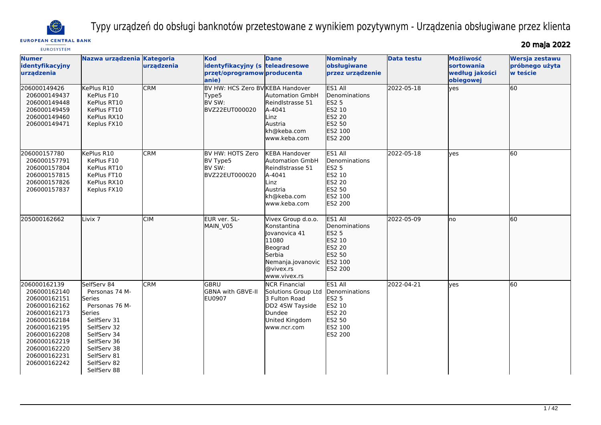

Typy urządzeń do obsługi banknotów przetestowane z wynikiem pozytywnym - Urządzenia obsługiwane przez klienta

# **EUROPEAN CENTRAL BANK**

20 maja 2022

| <b>EUROSYSTEM</b>                                                                                                                                                                            |                                                                                                                                                                                             |                         |                                                                                        |                                                                                                                                    |                                                                                                     |                   |                                                               | = = 111999 =                                 |
|----------------------------------------------------------------------------------------------------------------------------------------------------------------------------------------------|---------------------------------------------------------------------------------------------------------------------------------------------------------------------------------------------|-------------------------|----------------------------------------------------------------------------------------|------------------------------------------------------------------------------------------------------------------------------------|-----------------------------------------------------------------------------------------------------|-------------------|---------------------------------------------------------------|----------------------------------------------|
| <b>Numer</b><br>identyfikacyjny<br>urządzenia                                                                                                                                                | Nazwa urządzenia Kategoria                                                                                                                                                                  | urządzenia              | <b>Kod</b><br>identyfikacyjny (s teleadresowe<br>przęt/oprogramow producenta<br>lanie) | <b>Dane</b>                                                                                                                        | <b>Nominały</b><br>obsługiwane<br>przez urządzenie                                                  | <b>Data testu</b> | <b>Możliwość</b><br>sortowania<br>według jakości<br>obiegowej | Wersja zestawu<br>próbnego użyta<br>w teście |
| 206000149426<br>206000149437<br>206000149448<br>206000149459<br>206000149460<br>206000149471                                                                                                 | KePlus R10<br>KePlus F10<br>KePlus RT10<br>KePlus FT10<br>KePlus RX10<br>Keplus FX10                                                                                                        | <b>CRM</b>              | BV HW: HCS Zero BV KEBA Handover<br>Type5<br>BV SW:<br>BVZ22EUT000020                  | <b>Automation GmbH</b><br>Reindlstrasse 51<br>A-4041<br>Linz<br>Austria<br>kh@keba.com<br>www.keba.com                             | ES1 All<br>Denominations<br>ES2 5<br>ES2 10<br><b>ES2 20</b><br>ES2 50<br>ES2 100<br>ES2 200        | 2022-05-18        | yes                                                           | 60                                           |
| 206000157780<br>206000157791<br>206000157804<br>206000157815<br>206000157826<br>206000157837                                                                                                 | KePlus R10<br>KePlus F10<br>KePlus RT10<br>KePlus FT10<br>KePlus RX10<br>Keplus FX10                                                                                                        | <b>CRM</b>              | IBV HW: HOTS Zero<br>BV Type5<br>BV SW:<br>BVZ22EUT000020                              | <b>KEBA Handover</b><br><b>Automation GmbH</b><br>Reindlstrasse 51<br>A-4041<br>Linz<br>Austria<br>kh@keba.com<br>lwww.keba.com    | ES1 All<br>Denominations<br><b>ES2 5</b><br>ES2 10<br><b>ES2 20</b><br>ES2 50<br>ES2 100<br>ES2 200 | 2022-05-18        | ves                                                           | 60                                           |
| 205000162662                                                                                                                                                                                 | Livix <sub>7</sub>                                                                                                                                                                          | $\overline{\text{CIM}}$ | EUR ver. SL-<br>MAIN_V05                                                               | Vivex Group d.o.o.<br>Konstantina<br>Jovanovica 41<br>11080<br>Beograd<br>Serbia<br>Nemanja.jovanovic<br>@vivex.rs<br>www.vivex.rs | ES1 All<br>Denominations<br>ES2 5<br>ES2 10<br>ES2 20<br>ES2 50<br>ES2 100<br><b>IES2 200</b>       | 2022-05-09        | no                                                            | 60                                           |
| 206000162139<br>206000162140<br>206000162151<br>206000162162<br>206000162173<br>206000162184<br>206000162195<br>206000162208<br>206000162219<br>206000162220<br>206000162231<br>206000162242 | SelfServ 84<br>Personas 74 M-<br>Series<br>Personas 76 M-<br>Series<br>SelfServ 31<br>SelfServ 32<br>SelfServ 34<br>SelfServ 36<br>SelfServ 38<br>SelfServ 81<br>SelfServ 82<br>SelfServ 88 | <b>CRM</b>              | GBRU<br>GBNA with GBVE-II<br>EU0907                                                    | <b>NCR Financial</b><br>Solutions Group Ltd<br>3 Fulton Road<br>DD2 4SW Tayside<br>Dundee<br>United Kingdom<br>www.ncr.com         | ES1 All<br>Denominations<br><b>ES2 5</b><br>ES2 10<br><b>ES2 20</b><br>ES2 50<br>ES2 100<br>ES2 200 | 2022-04-21        | ves                                                           | 60                                           |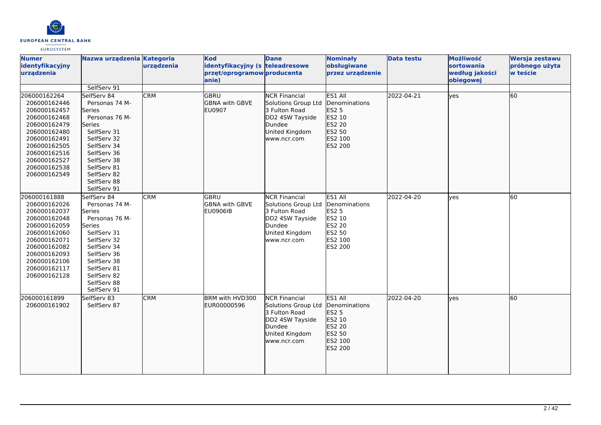

| <b>Numer</b><br>identyfikacyjny<br>urządzenia                                                                                                                                                | Nazwa urządzenia Kategoria                                                                                                                                                                                                       | urządzenia | Kod<br>identyfikacyjny (s teleadresowe<br>przęt/oprogramow producenta<br>anie) | <b>Dane</b>                                                                                                                | <b>Nominały</b><br>obsługiwane<br>przez urządzenie                                                  | <b>Data testu</b> | Możliwość<br>sortowania<br>według jakości<br>obiegowej | Wersja zestawu<br>próbnego użyta<br>w teście |
|----------------------------------------------------------------------------------------------------------------------------------------------------------------------------------------------|----------------------------------------------------------------------------------------------------------------------------------------------------------------------------------------------------------------------------------|------------|--------------------------------------------------------------------------------|----------------------------------------------------------------------------------------------------------------------------|-----------------------------------------------------------------------------------------------------|-------------------|--------------------------------------------------------|----------------------------------------------|
| 206000162264<br>206000162446<br>206000162457<br>206000162468<br>206000162479<br>206000162480<br>206000162491<br>206000162505<br>206000162516<br>206000162527<br>206000162538<br>206000162549 | SelfServ 91<br>SelfServ 84<br>Personas 74 M-<br>Series<br>Personas 76 M-<br><b>Series</b><br>SelfServ 31<br>SelfServ 32<br>SelfServ 34<br>SelfServ 36<br>SelfServ 38<br>SelfServ 81<br>SelfServ 82<br>SelfServ 88<br>SelfServ 91 | <b>CRM</b> | <b>GBRU</b><br><b>GBNA with GBVE</b><br><b>EU0907</b>                          | <b>NCR Financial</b><br>Solutions Group Ltd<br>3 Fulton Road<br>DD2 4SW Tayside<br>Dundee<br>United Kingdom<br>www.ncr.com | ES1 All<br>Denominations<br><b>ES2 5</b><br>ES2 10<br>ES2 20<br>ES2 50<br>ES2 100<br>ES2 200        | 2022-04-21        | lyes                                                   | 60                                           |
| 206000161888<br>206000162026<br>206000162037<br>206000162048<br>206000162059<br>206000162060<br>206000162071<br>206000162082<br>206000162093<br>206000162106<br>206000162117<br>206000162128 | SelfServ 84<br>Personas 74 M-<br>Series<br>Personas 76 M-<br>Series<br>SelfServ 31<br>SelfServ 32<br>SelfServ 34<br>SelfServ 36<br>SelfServ 38<br>SelfServ 81<br>SelfServ 82<br>SelfServ 88<br>SelfServ 91                       | <b>CRM</b> | GBRU<br><b>GBNA with GBVE</b><br><b>EU0906IB</b>                               | <b>NCR Financial</b><br>Solutions Group Ltd<br>3 Fulton Road<br>DD2 4SW Tayside<br>Dundee<br>United Kingdom<br>www.ncr.com | ES1 All<br>Denominations<br><b>ES2 5</b><br>ES2 10<br><b>ES2 20</b><br>ES2 50<br>ES2 100<br>ES2 200 | 2022-04-20        | yes                                                    | 60                                           |
| 206000161899<br>206000161902                                                                                                                                                                 | SelfServ 83<br>SelfServ 87                                                                                                                                                                                                       | <b>CRM</b> | BRM with HVD300<br>EUR00000596                                                 | <b>NCR Financial</b><br>Solutions Group Ltd<br>3 Fulton Road<br>DD2 4SW Tayside<br>Dundee<br>United Kingdom<br>www.ncr.com | ES1 All<br>Denominations<br>ES2 5<br>ES2 10<br>ES2 20<br>ES2 50<br><b>ES2 100</b><br>ES2 200        | 2022-04-20        | lves                                                   | 60                                           |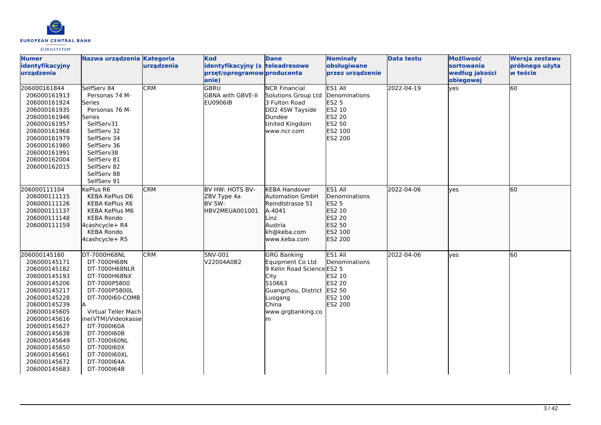

| <b>Numer</b><br>identyfikacyjny<br>urzadzenia                                                                                                                                                                                                                                | Nazwa urządzenia Kategoria                                                                                                                                                                                                                                                       | urządzenia | <b>Kod</b><br>identyfikacyjny (s teleadresowe<br>przęt/oprogramow producenta<br>anie) | <b>Dane</b>                                                                                                                                                               | <b>Nominały</b><br>obsługiwane<br>przez urządzenie                                                         | <b>Data testu</b> | Możliwość<br><b>sortowania</b><br>według jakości<br>obiegowej | Wersja zestawu<br>próbnego użyta<br>w teście |
|------------------------------------------------------------------------------------------------------------------------------------------------------------------------------------------------------------------------------------------------------------------------------|----------------------------------------------------------------------------------------------------------------------------------------------------------------------------------------------------------------------------------------------------------------------------------|------------|---------------------------------------------------------------------------------------|---------------------------------------------------------------------------------------------------------------------------------------------------------------------------|------------------------------------------------------------------------------------------------------------|-------------------|---------------------------------------------------------------|----------------------------------------------|
| 206000161844<br>206000161913<br>206000161924<br>206000161935<br>206000161946<br>206000161957<br>206000161968<br>206000161979<br>206000161980<br>206000161991<br>206000162004<br>206000162015                                                                                 | SelfServ 84<br>Personas 74 M-<br>lSeries<br>Personas 76 M-<br>Series<br>SelfServ31<br>SelfServ 32<br>SelfServ 34<br>SelfServ 36<br>SelfServ38<br>SelfServ 81<br>SelfServ 82<br>SelfServ 88<br>SelfServ 91                                                                        | <b>CRM</b> | <b>GBRU</b><br><b>GBNA with GBVE-II</b><br><b>EU0906IB</b>                            | <b>NCR Financial</b><br>Solutions Group Ltd<br>3 Fulton Road<br>DD2 4SW Tayside<br>Dundee<br>United Kingdom<br>www.ncr.com                                                | ES1 All<br>Denominations<br><b>ES2 5</b><br>ES2 10<br><b>ES2 20</b><br>ES2 50<br>ES2 100<br><b>ES2 200</b> | 2022-04-19        | lves                                                          | 60                                           |
| 206000111104<br>206000111115<br>206000111126<br>206000111137<br>206000111148<br>206000111159                                                                                                                                                                                 | KePlus R6<br><b>KEBA KePlus D6</b><br><b>KEBA KePlus X6</b><br><b>KEBA KePlus M6</b><br><b>KEBA Rondo</b><br>4cashcycle+ R4<br><b>KEBA Rondo</b><br>4cashcycle+ R5                                                                                                               | <b>CRM</b> | BV HW: HOTS BV-<br>ZBV Type 4a<br>BV SW:<br>HBV2MEUA001001                            | <b>KEBA Handover</b><br><b>Automation GmbH</b><br>Reindlstrasse 51<br>A-4041<br>Linz<br>Austria<br>kh@keba.com<br>www.keba.com                                            | ES1 All<br>Denominations<br>ES2 5<br>ES2 10<br><b>ES2 20</b><br>ES2 50<br>ES2 100<br>ES2 200               | 2022-04-06        | lves                                                          | 60                                           |
| 206000145160<br>206000145171<br>206000145182<br>206000145193<br>206000145206<br>206000145217<br>206000145228<br>206000145239<br>206000145605<br>206000145616<br>206000145627<br>206000145638<br>206000145649<br>206000145650<br>206000145661<br>206000145672<br>206000145683 | DT-7000H68NL<br>DT-7000H68N<br>DT-7000H68NLR<br>DT-7000H68NX<br>DT-7000P5800<br>DT-7000P5800L<br>DT-7000160-COMB<br>lA.<br>Virtual Teller Mach<br>ine(VTM)/Videokasse<br>DT-7000160A<br>DT-7000160B<br>DT-7000160NL<br>DT-7000160X<br>DT-7000160XL<br>DT-7000164A<br>DT-7000164B | <b>CRM</b> | <b>SNV-001</b><br>V22004A0B2                                                          | <b>GRG Banking</b><br>Equipment Co Ltd<br>9 Kelin Road Science ES2 5<br><b>City</b><br>510663<br>Guangzhou, District ES2 50<br>Luogang<br>China<br>www.grgbanking.co<br>m | ES1 All<br>Denominations<br><b>ES2 10</b><br><b>ES2 20</b><br>ES2 100<br>ES2 200                           | 2022-04-06        | lves                                                          | 60                                           |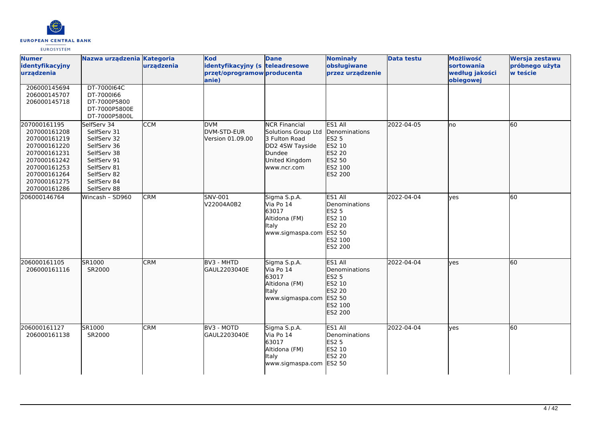

| <b>Numer</b><br>identyfikacyjny<br>urządzenia                                                                                                                | Nazwa urządzenia Kategoria                                                                                                                         | urządzenia | <b>Kod</b><br>identyfikacyjny (s teleadresowe<br>przęt/oprogramow producenta<br>anie) | <b>Dane</b>                                                                                                                | <b>Nominały</b><br>obsługiwane<br>przez urządzenie                                                         | <b>Data testu</b> | Możliwość<br>sortowania<br>według jakości<br>obiegowej | Wersja zestawu<br>próbnego użyta<br>w teście |
|--------------------------------------------------------------------------------------------------------------------------------------------------------------|----------------------------------------------------------------------------------------------------------------------------------------------------|------------|---------------------------------------------------------------------------------------|----------------------------------------------------------------------------------------------------------------------------|------------------------------------------------------------------------------------------------------------|-------------------|--------------------------------------------------------|----------------------------------------------|
| 206000145694<br>206000145707<br>206000145718                                                                                                                 | DT-7000164C<br>DT-7000166<br>DT-7000P5800<br>DT-7000P5800E<br>DT-7000P5800L                                                                        |            |                                                                                       |                                                                                                                            |                                                                                                            |                   |                                                        |                                              |
| 207000161195<br>207000161208<br>207000161219<br>207000161220<br>207000161231<br>207000161242<br>207000161253<br>207000161264<br>207000161275<br>207000161286 | SelfServ 34<br>SelfServ 31<br>SelfServ 32<br>SelfServ 36<br>SelfServ 38<br>SelfServ 91<br>SelfServ 81<br>SelfServ 82<br>SelfServ 84<br>SelfServ 88 | <b>CCM</b> | <b>DVM</b><br>DVM-STD-EUR<br>Version 01.09.00                                         | <b>NCR Financial</b><br>Solutions Group Ltd<br>3 Fulton Road<br>DD2 4SW Tayside<br>Dundee<br>United Kingdom<br>www.ncr.com | ES1 All<br>Denominations<br>ES2 5<br>ES2 10<br>ES2 20<br>ES2 50<br>ES2 100<br>ES2 200                      | 2022-04-05        | lno                                                    | 60                                           |
| 206000146764                                                                                                                                                 | Wincash - SD960                                                                                                                                    | <b>CRM</b> | SNV-001<br>V22004A0B2                                                                 | Sigma S.p.A.<br>Via Po 14<br>63017<br>Altidona (FM)<br>Italy<br>www.sigmaspa.com                                           | ES1 All<br>Denominations<br><b>ES2 5</b><br>ES2 10<br><b>ES2 20</b><br><b>ES2 50</b><br>ES2 100<br>ES2 200 | 2022-04-04        | lyes                                                   | 60                                           |
| 206000161105<br>206000161116                                                                                                                                 | SR1000<br>SR2000                                                                                                                                   | <b>CRM</b> | BV3 - MHTD<br>GAUL2203040E                                                            | Sigma S.p.A.<br>Via Po 14<br>63017<br>Altidona (FM)<br>Italy<br>www.sigmaspa.com                                           | ES1 All<br>Denominations<br>ES2 5<br>ES2 10<br>ES2 20<br>ES2 50<br>ES2 100<br>ES2 200                      | 2022-04-04        | lyes                                                   | 60                                           |
| 206000161127<br>206000161138                                                                                                                                 | SR1000<br>SR2000                                                                                                                                   | <b>CRM</b> | BV3 - MOTD<br>GAUL2203040E                                                            | Sigma S.p.A.<br>Via Po 14<br>63017<br>Altidona (FM)<br>Italy<br>www.sigmaspa.com                                           | ES1 All<br>Denominations<br><b>ES2 5</b><br>ES2 10<br>ES2 20<br><b>ES2 50</b>                              | 2022-04-04        | lyes                                                   | 60                                           |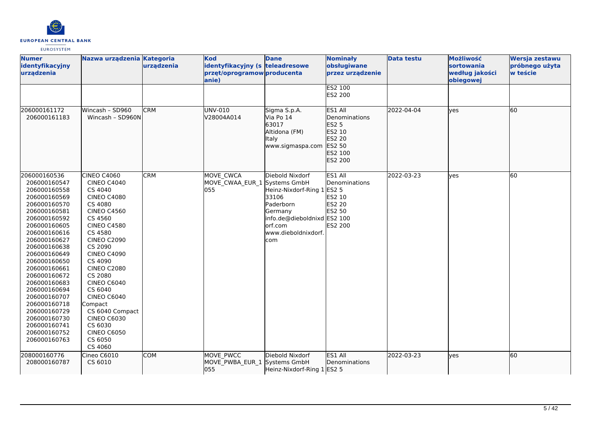

| <b>Numer</b><br>identyfikacyjny<br>urządzenia                                                                                                                                                                                                                                                                                                                                                | Nazwa urządzenia Kategoria                                                                                                                                                                                                                                                                                                                                                                                                  | urządzenia | <b>Kod</b><br>identyfikacyjny (s teleadresowe<br>przęt/oprogramow producenta<br>anie) | <b>Dane</b>                                                                                                                                      | <b>Nominały</b><br>obsługiwane<br>przez urządzenie                                           | <b>Data testu</b> | Możliwość<br><b>sortowania</b><br>według jakości<br>obiegowej | Wersja zestawu<br>próbnego użyta<br>w teście |
|----------------------------------------------------------------------------------------------------------------------------------------------------------------------------------------------------------------------------------------------------------------------------------------------------------------------------------------------------------------------------------------------|-----------------------------------------------------------------------------------------------------------------------------------------------------------------------------------------------------------------------------------------------------------------------------------------------------------------------------------------------------------------------------------------------------------------------------|------------|---------------------------------------------------------------------------------------|--------------------------------------------------------------------------------------------------------------------------------------------------|----------------------------------------------------------------------------------------------|-------------------|---------------------------------------------------------------|----------------------------------------------|
|                                                                                                                                                                                                                                                                                                                                                                                              |                                                                                                                                                                                                                                                                                                                                                                                                                             |            |                                                                                       |                                                                                                                                                  | ES2 100<br>ES2 200                                                                           |                   |                                                               |                                              |
| 206000161172<br>206000161183                                                                                                                                                                                                                                                                                                                                                                 | Wincash - SD960<br>Wincash - SD960N                                                                                                                                                                                                                                                                                                                                                                                         | <b>CRM</b> | UNV-010<br>V28004A014                                                                 | Sigma S.p.A.<br>Via Po 14<br>63017<br>Altidona (FM)<br>Italy<br>www.sigmaspa.com                                                                 | ES1 All<br>Denominations<br><b>ES2 5</b><br>ES2 10<br>ES2 20<br>ES2 50<br>ES2 100<br>ES2 200 | 2022-04-04        | lyes                                                          | 60                                           |
| 206000160536<br>206000160547<br>206000160558<br>206000160569<br>206000160570<br>206000160581<br>206000160592<br>206000160605<br>206000160616<br>206000160627<br>206000160638<br>206000160649<br>206000160650<br>206000160661<br>206000160672<br>206000160683<br>206000160694<br>206000160707<br>206000160718<br>206000160729<br>206000160730<br>206000160741<br>206000160752<br>206000160763 | <b>CINEO C4060</b><br><b>CINEO C4040</b><br>CS 4040<br><b>CINEO C4080</b><br>CS 4080<br><b>CINEO C4560</b><br>CS 4560<br><b>CINEO C4580</b><br>CS 4580<br><b>CINEO C2090</b><br>CS 2090<br><b>CINEO C4090</b><br>CS 4090<br><b>CINEO C2080</b><br>CS 2080<br><b>CINEO C6040</b><br>CS 6040<br><b>CINEO C6040</b><br>Compact<br>CS 6040 Compact<br><b>CINEO C6030</b><br>CS 6030<br><b>CINEO C6050</b><br>CS 6050<br>CS 4060 | <b>CRM</b> | MOVE CWCA<br>MOVE CWAA_EUR_1 Systems GmbH<br>055                                      | Diebold Nixdorf<br>Heinz-Nixdorf-Ring 1<br>33106<br>Paderborn<br>Germany<br>info.de@dieboldnixd ES2 100<br>orf.com<br>www.dieboldnixdorf.<br>com | ES1 All<br>Denominations<br><b>ES2 5</b><br>ES2 10<br>ES2 20<br><b>ES2 50</b><br>ES2 200     | 2022-03-23        | lyes                                                          | 60                                           |
| 208000160776<br>208000160787                                                                                                                                                                                                                                                                                                                                                                 | Cineo C6010<br>CS 6010                                                                                                                                                                                                                                                                                                                                                                                                      | <b>COM</b> | MOVE PWCC<br>MOVE PWBA_EUR_1 Systems GmbH<br>055                                      | Diebold Nixdorf<br>Heinz-Nixdorf-Ring 1 ES2 5                                                                                                    | ES1 All<br>Denominations                                                                     | 2022-03-23        | lyes                                                          | 60                                           |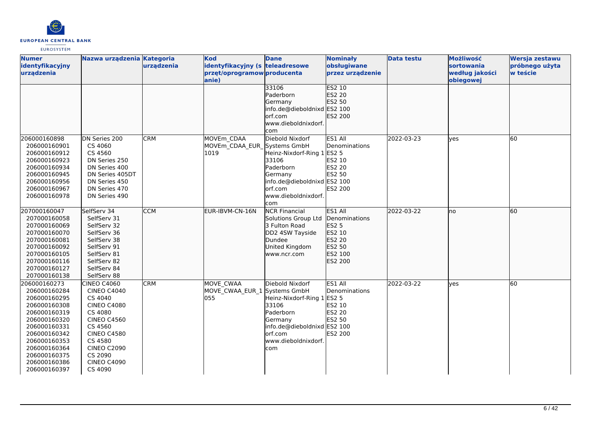

| <b>Numer</b>    | Nazwa urządzenia Kategoria |            | <b>Kod</b>                      | <b>Dane</b>                 | <b>Nominały</b>       | <b>Data testu</b> | Możliwość      | Wersja zestawu |
|-----------------|----------------------------|------------|---------------------------------|-----------------------------|-----------------------|-------------------|----------------|----------------|
| identyfikacyjny |                            | urządzenia | identyfikacyjny (s teleadresowe |                             | obsługiwane           |                   | sortowania     | próbnego użyta |
| urządzenia      |                            |            | przęt/oprogramow producenta     |                             | przez urządzenie      |                   | według jakości | w teście       |
|                 |                            |            | anie)                           |                             |                       |                   | obiegowej      |                |
|                 |                            |            |                                 | 33106                       | <b>ES2 10</b>         |                   |                |                |
|                 |                            |            |                                 | Paderborn                   | ES2 20                |                   |                |                |
|                 |                            |            |                                 | Germany                     | ES2 50                |                   |                |                |
|                 |                            |            |                                 | info.de@dieboldnixd ES2 100 |                       |                   |                |                |
|                 |                            |            |                                 | orf.com                     | <b>ES2 200</b>        |                   |                |                |
|                 |                            |            |                                 | www.dieboldnixdorf.         |                       |                   |                |                |
|                 |                            |            |                                 | com                         |                       |                   |                |                |
| 206000160898    | DN Series 200              | <b>CRM</b> | MOVEm CDAA                      | Diebold Nixdorf             | ES1 All               | 2022-03-23        | <b>l</b> ves   | 60             |
| 206000160901    | CS 4060                    |            | MOVEm CDAA EUR Systems GmbH     |                             | Denominations         |                   |                |                |
| 206000160912    | CS 4560                    |            | 1019                            | Heinz-Nixdorf-Ring 1 ES2 5  |                       |                   |                |                |
| 206000160923    | DN Series 250              |            |                                 | 33106                       | ES2 10                |                   |                |                |
| 206000160934    | DN Series 400              |            |                                 | Paderborn                   | ES2 20                |                   |                |                |
| 206000160945    | DN Series 405DT            |            |                                 | Germany                     | ES2 50                |                   |                |                |
| 206000160956    | DN Series 450              |            |                                 | info.de@dieboldnixd ES2 100 |                       |                   |                |                |
| 206000160967    | DN Series 470              |            |                                 | lorf.com                    | <b>ES2 200</b>        |                   |                |                |
| 206000160978    | DN Series 490              |            |                                 | www.dieboldnixdorf.         |                       |                   |                |                |
|                 |                            |            |                                 | com                         |                       |                   |                |                |
| 207000160047    | SelfServ 34                | <b>CCM</b> | EUR-IBVM-CN-16N                 | <b>NCR Financial</b>        | ES1 All               | 2022-03-22        | lno            | 60             |
| 207000160058    | SelfServ 31                |            |                                 | Solutions Group Ltd         | <b>IDenominations</b> |                   |                |                |
| 207000160069    | SelfServ 32                |            |                                 | 3 Fulton Road               | <b>ES2 5</b>          |                   |                |                |
| 207000160070    | SelfServ 36                |            |                                 | DD2 4SW Tayside             | ES2 10                |                   |                |                |
| 207000160081    | SelfServ 38                |            |                                 | Dundee                      | ES2 20                |                   |                |                |
| 207000160092    | SelfServ 91                |            |                                 | United Kingdom              | ES2 50                |                   |                |                |
| 207000160105    | SelfServ 81                |            |                                 | www.ncr.com                 | ES2 100               |                   |                |                |
| 207000160116    | SelfServ 82                |            |                                 |                             | ES2 200               |                   |                |                |
| 207000160127    | SelfServ 84                |            |                                 |                             |                       |                   |                |                |
| 207000160138    | SelfServ 88                |            |                                 |                             |                       |                   |                |                |
| 206000160273    | <b>CINEO C4060</b>         | <b>CRM</b> | <b>MOVE CWAA</b>                | Diebold Nixdorf             | ES1 All               | 2022-03-22        | <b>ves</b>     | 60             |
| 206000160284    | <b>CINEO C4040</b>         |            | MOVE CWAA EUR 1 Systems GmbH    |                             | Denominations         |                   |                |                |
| 206000160295    | CS 4040                    |            | 055                             | Heinz-Nixdorf-Ring 1 ES2 5  |                       |                   |                |                |
| 206000160308    | <b>CINEO C4080</b>         |            |                                 | 33106                       | ES2 10                |                   |                |                |
| 206000160319    | CS 4080                    |            |                                 | Paderborn                   | <b>ES2 20</b>         |                   |                |                |
| 206000160320    | <b>CINEO C4560</b>         |            |                                 | Germany                     | ES2 50                |                   |                |                |
| 206000160331    | CS 4560                    |            |                                 | info.de@dieboldnixd ES2 100 |                       |                   |                |                |
| 206000160342    | <b>CINEO C4580</b>         |            |                                 | lorf.com                    | ES2 200               |                   |                |                |
| 206000160353    | CS 4580                    |            |                                 | www.dieboldnixdorf.         |                       |                   |                |                |
| 206000160364    | <b>CINEO C2090</b>         |            |                                 | com                         |                       |                   |                |                |
| 206000160375    | CS 2090                    |            |                                 |                             |                       |                   |                |                |
| 206000160386    | <b>CINEO C4090</b>         |            |                                 |                             |                       |                   |                |                |
| 206000160397    | CS 4090                    |            |                                 |                             |                       |                   |                |                |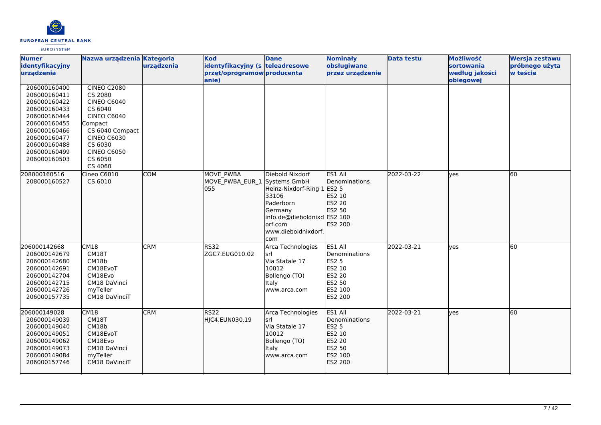

| <b>Numer</b><br>identyfikacyjny<br>urządzenia                                                                                                                                | Nazwa urządzenia Kategoria                                                                                                                                                                      | urządzenia | <b>Kod</b><br>identyfikacyjny (s teleadresowe<br>przęt/oprogramow producenta<br>anie) | <b>Dane</b>                                                                                                                                       | <b>Nominały</b><br>obsługiwane<br>przez urządzenie                                           | <b>Data testu</b> | Możliwość<br>sortowania<br>według jakości<br>obiegowej | Wersja zestawu<br>próbnego użyta<br>w teście |
|------------------------------------------------------------------------------------------------------------------------------------------------------------------------------|-------------------------------------------------------------------------------------------------------------------------------------------------------------------------------------------------|------------|---------------------------------------------------------------------------------------|---------------------------------------------------------------------------------------------------------------------------------------------------|----------------------------------------------------------------------------------------------|-------------------|--------------------------------------------------------|----------------------------------------------|
| 206000160400<br>206000160411<br>206000160422<br>206000160433<br>206000160444<br>206000160455<br>206000160466<br>206000160477<br>206000160488<br>206000160499<br>206000160503 | <b>CINEO C2080</b><br>CS 2080<br><b>CINEO C6040</b><br>CS 6040<br><b>CINEO C6040</b><br>Compact<br>CS 6040 Compact<br><b>CINEO C6030</b><br>CS 6030<br><b>CINEO C6050</b><br>CS 6050<br>CS 4060 |            |                                                                                       |                                                                                                                                                   |                                                                                              |                   |                                                        |                                              |
| 208000160516<br>208000160527                                                                                                                                                 | Cineo C6010<br>CS 6010                                                                                                                                                                          | <b>COM</b> | <b>MOVE PWBA</b><br>MOVE PWBA EUR 1 Systems GmbH<br>055                               | Diebold Nixdorf<br>Heinz-Nixdorf-Ring 1<br>33106<br>Paderborn<br>Germany<br>info.de@dieboldnixd ES2 100<br>lorf.com<br>www.dieboldnixdorf.<br>com | ES1 All<br>Denominations<br><b>ES2 5</b><br>ES2 10<br>ES2 20<br>ES2 50<br>ES2 200            | 2022-03-22        | ves                                                    | 60                                           |
| 206000142668<br>206000142679<br>206000142680<br>206000142691<br>206000142704<br>206000142715<br>206000142726<br>206000157735                                                 | CM18<br>CM18T<br>CM18b<br>CM18EvoT<br>CM18Evo<br>CM18 DaVinci<br>myTeller<br>CM18 DaVinciT                                                                                                      | <b>CRM</b> | <b>RS32</b><br>ZGC7.EUG010.02                                                         | Arca Technologies<br>lsrl<br>Via Statale 17<br>10012<br>Bollengo (TO)<br>Italy<br>www.arca.com                                                    | ES1 All<br>Denominations<br><b>ES2 5</b><br>ES2 10<br>ES2 20<br>ES2 50<br>ES2 100<br>ES2 200 | 2022-03-21        | ves                                                    | 60                                           |
| 206000149028<br>206000149039<br>206000149040<br>206000149051<br>206000149062<br>206000149073<br>206000149084<br>206000157746                                                 | CM18<br>CM18T<br>CM18b<br>CM18EvoT<br>CM18Evo<br>CM18 DaVinci<br>myTeller<br>CM18 DaVinciT                                                                                                      | <b>CRM</b> | RS <sub>22</sub><br>HJC4.EUN030.19                                                    | Arca Technologies<br>lsrl<br>Via Statale 17<br>10012<br>Bollengo (TO)<br><b>Italy</b><br>www.arca.com                                             | ES1 All<br>Denominations<br>ES2 5<br>ES2 10<br>ES2 20<br>ES2 50<br>ES2 100<br>ES2 200        | 2022-03-21        | lyes                                                   | 60                                           |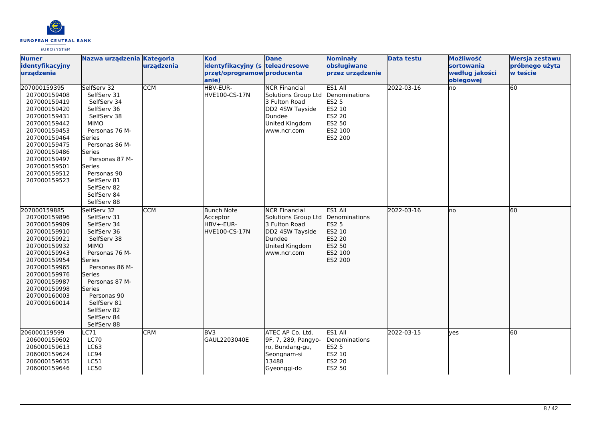

| <b>Numer</b><br>identyfikacyjny<br>urzadzenia                                                                                                                                                                                | Nazwa urządzenia Kategoria                                                                                                                                                                                                                            | urządzenia | <b>Kod</b><br>identyfikacyjny (s teleadresowe<br>przęt/oprogramow producenta<br>lanie) | <b>Dane</b>                                                                                                                | <b>Nominały</b><br>obsługiwane<br>przez urządzenie                                                  | <b>Data testu</b> | Możliwość<br>sortowania<br>według jakości<br>obiegowej | Wersja zestawu<br>próbnego użyta<br>w teście |
|------------------------------------------------------------------------------------------------------------------------------------------------------------------------------------------------------------------------------|-------------------------------------------------------------------------------------------------------------------------------------------------------------------------------------------------------------------------------------------------------|------------|----------------------------------------------------------------------------------------|----------------------------------------------------------------------------------------------------------------------------|-----------------------------------------------------------------------------------------------------|-------------------|--------------------------------------------------------|----------------------------------------------|
| 207000159395<br>207000159408<br>207000159419<br>207000159420<br>207000159431<br>207000159442<br>207000159453<br>207000159464<br>207000159475<br>207000159486<br>207000159497<br>207000159501<br>207000159512<br>207000159523 | SelfServ 32<br>SelfServ 31<br>SelfServ 34<br>SelfServ 36<br>SelfServ 38<br><b>MIMO</b><br>Personas 76 M-<br>Series<br>Personas 86 M-<br>Series<br>Personas 87 M-<br>Series<br>Personas 90<br>SelfServ 81<br>SelfServ 82<br>SelfServ 84<br>SelfServ 88 | <b>CCM</b> | HBV-EUR-<br><b>HVE100-CS-17N</b>                                                       | <b>NCR Financial</b><br>Solutions Group Ltd<br>3 Fulton Road<br>DD2 4SW Tayside<br>Dundee<br>United Kingdom<br>www.ncr.com | ES1 All<br>Denominations<br><b>ES2 5</b><br>ES2 10<br><b>ES2 20</b><br>ES2 50<br>ES2 100<br>ES2 200 | 2022-03-16        | no                                                     | $\overline{60}$                              |
| 207000159885<br>207000159896<br>207000159909<br>207000159910<br>207000159921<br>207000159932<br>207000159943<br>207000159954<br>207000159965<br>207000159976<br>207000159987<br>207000159998<br>207000160003<br>207000160014 | SelfServ 32<br>SelfServ 31<br>SelfServ 34<br>SelfServ 36<br>SelfServ 38<br><b>MIMO</b><br>Personas 76 M-<br>Series<br>Personas 86 M-<br>Series<br>Personas 87 M-<br>Series<br>Personas 90<br>SelfServ 81<br>SelfServ 82<br>SelfServ 84<br>SelfServ 88 | <b>CCM</b> | <b>Bunch Note</b><br>Acceptor<br>HBV+-EUR-<br>HVE100-CS-17N                            | <b>NCR Financial</b><br>Solutions Group Ltd<br>3 Fulton Road<br>DD2 4SW Tayside<br>Dundee<br>United Kingdom<br>www.ncr.com | ES1 All<br>Denominations<br>ES2 5<br>ES2 10<br>ES2 20<br>ES2 50<br>ES2 100<br>ES2 200               | 2022-03-16        | Ino                                                    | 60                                           |
| 206000159599<br>206000159602<br>206000159613<br>206000159624<br>206000159635<br>206000159646                                                                                                                                 | C71<br><b>LC70</b><br>LC63<br>LC94<br>LC51<br><b>LC50</b>                                                                                                                                                                                             | <b>CRM</b> | BV3<br>GAUL2203040E                                                                    | ATEC AP Co. Ltd.<br>9F, 7, 289, Pangyo-<br>ro, Bundang-gu,<br>Seongnam-si<br>13488<br>Gyeonggi-do                          | ES1 All<br>Denominations<br><b>ES2 5</b><br>ES2 10<br>ES2 20<br>ES2 50                              | 2022-03-15        | ves                                                    | 60                                           |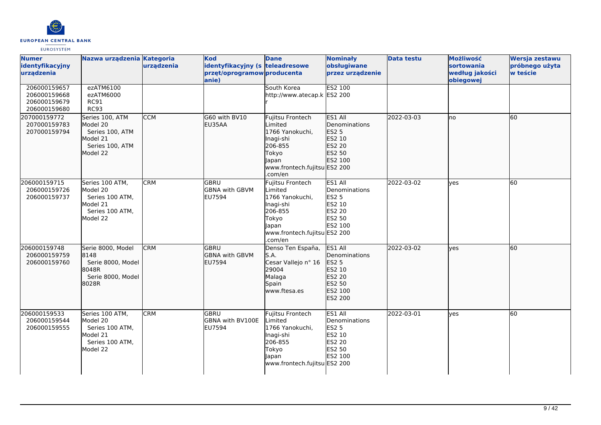

| <b>Numer</b><br>identyfikacyjny<br>urządzenia                | Nazwa urządzenia Kategoria                                                                | urządzenia | <b>Kod</b><br>identyfikacyjny (s teleadresowe<br>przęt/oprogramow producenta<br>anie) | <b>Dane</b>                                                                                                                         | <b>Nominały</b><br>obsługiwane<br>przez urządzenie                                       | <b>Data testu</b> | Możliwość<br>sortowania<br>według jakości<br>obiegowej | Wersja zestawu<br>próbnego użyta<br>w teście |
|--------------------------------------------------------------|-------------------------------------------------------------------------------------------|------------|---------------------------------------------------------------------------------------|-------------------------------------------------------------------------------------------------------------------------------------|------------------------------------------------------------------------------------------|-------------------|--------------------------------------------------------|----------------------------------------------|
| 206000159657<br>206000159668<br>206000159679<br>206000159680 | ezATM6100<br>ezATM6000<br><b>RC91</b><br><b>RC93</b>                                      |            |                                                                                       | South Korea<br>http://www.atecap.k ES2 200                                                                                          | <b>ES2 100</b>                                                                           |                   |                                                        |                                              |
| 207000159772<br>207000159783<br>207000159794                 | Series 100, ATM<br>Model 20<br>Series 100, ATM<br>Model 21<br>Series 100, ATM<br>Model 22 | <b>CCM</b> | G60 with BV10<br>EU35AA                                                               | Fujitsu Frontech<br>Limited<br>1766 Yanokuchi,<br>Inagi-shi<br>206-855<br>Tokyo<br>Japan<br>www.frontech.fujitsu ES2 200<br>.com/en | ES1 All<br>Denominations<br>ES2 5<br>ES2 10<br><b>ES2 20</b><br>ES2 50<br>ES2 100        | 2022-03-03        | lno                                                    | 60                                           |
| 206000159715<br>206000159726<br>206000159737                 | Series 100 ATM,<br>Model 20<br>Series 100 ATM,<br>Model 21<br>Series 100 ATM,<br>Model 22 | <b>CRM</b> | GBRU<br><b>GBNA with GBVM</b><br><b>EU7594</b>                                        | Fujitsu Frontech<br>Limited<br>1766 Yanokuchi,<br>Inagi-shi<br>206-855<br>Tokyo<br>Japan<br>www.frontech.fujitsu ES2 200<br>.com/en | ES1 All<br>Denominations<br><b>ES2 5</b><br>ES2 10<br>ES2 20<br><b>ES2 50</b><br>ES2 100 | 2022-03-02        | lves                                                   | 60                                           |
| 206000159748<br>206000159759<br>206000159760                 | Serie 8000, Model<br>8148<br>Serie 8000, Model<br>8048R<br>Serie 8000, Model<br>8028R     | <b>CRM</b> | <b>GBRU</b><br><b>GBNA with GBVM</b><br>EU7594                                        | Denso Ten España,<br>S.A.<br>Cesar Vallejo nº 16<br>29004<br>Malaga<br>Spain<br>www.ftesa.es                                        | ES1 All<br>Denominations<br>ES2 5<br>ES2 10<br>ES2 20<br>ES2 50<br>ES2 100<br>ES2 200    | 2022-03-02        | <b>l</b> ves                                           | 60                                           |
| 206000159533<br>206000159544<br>206000159555                 | Series 100 ATM,<br>Model 20<br>Series 100 ATM,<br>Model 21<br>Series 100 ATM,<br>Model 22 | <b>CRM</b> | GBRU<br>GBNA with BV100E<br><b>EU7594</b>                                             | Fujitsu Frontech<br>Limited<br>1766 Yanokuchi,<br>Inagi-shi<br>206-855<br>Tokyo<br>Japan<br>www.frontech.fujitsu ES2 200            | ES1 All<br>Denominations<br><b>ES2 5</b><br>ES2 10<br>ES2 20<br>ES2 50<br>ES2 100        | 2022-03-01        | <b>ves</b>                                             | 60                                           |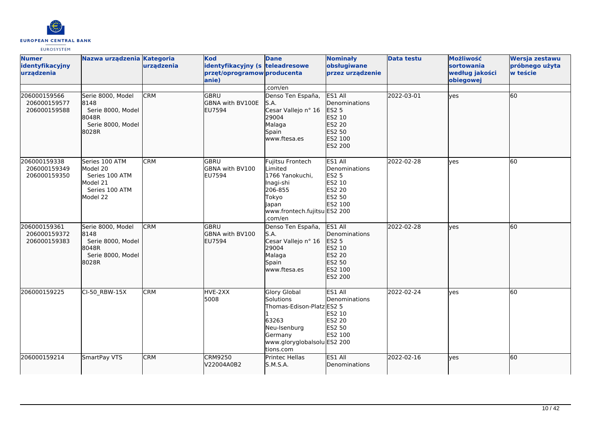

| <b>Numer</b><br>identyfikacyjny<br>urządzenia | Nazwa urządzenia Kategoria                                                             | urządzenia | <b>Kod</b><br>identyfikacyjny (s teleadresowe<br>przęt/oprogramow producenta<br>anie) | <b>Dane</b>                                                                                                                                   | <b>Nominały</b><br>obsługiwane<br>przez urządzenie                                            | <b>Data testu</b> | Możliwość<br><b>sortowania</b><br>według jakości<br>obiegowej | Wersja zestawu<br>próbnego użyta<br>w teście |
|-----------------------------------------------|----------------------------------------------------------------------------------------|------------|---------------------------------------------------------------------------------------|-----------------------------------------------------------------------------------------------------------------------------------------------|-----------------------------------------------------------------------------------------------|-------------------|---------------------------------------------------------------|----------------------------------------------|
| 206000159566<br>206000159577                  | Serie 8000, Model<br>8148                                                              | <b>CRM</b> | <b>GBRU</b><br><b>GBNA with BV100E</b>                                                | .com/en<br>Denso Ten España,<br>S.A.                                                                                                          | ES1 All<br>Denominations                                                                      | 2022-03-01        | lyes                                                          | 60                                           |
| 206000159588                                  | Serie 8000, Model<br>18048R<br>Serie 8000, Model<br>8028R                              |            | <b>EU7594</b>                                                                         | Cesar Vallejo nº 16<br>29004<br>Malaga<br>Spain<br>www.ftesa.es                                                                               | <b>ES2 5</b><br>ES2 10<br>ES2 20<br>ES2 50<br>ES2 100<br>ES2 200                              |                   |                                                               |                                              |
| 206000159338<br>206000159349<br>206000159350  | Series 100 ATM<br>Model 20<br>Series 100 ATM<br>Model 21<br>Series 100 ATM<br>Model 22 | <b>CRM</b> | lgbru<br>GBNA with BV100<br><b>EU7594</b>                                             | Fujitsu Frontech<br><i>imited</i><br>1766 Yanokuchi,<br>Inagi-shi<br>206-855<br>Tokyo<br>Japan<br>www.frontech.fujitsu ES2 200<br>.com/en     | ES1 All<br>Denominations<br><b>ES2 5</b><br>ES2 10<br>ES2 20<br><b>ES2 50</b><br>ES2 100      | 2022-02-28        | lves                                                          | 60                                           |
| 206000159361<br>206000159372<br>206000159383  | Serie 8000, Model<br>8148<br>Serie 8000, Model<br>8048R<br>Serie 8000, Model<br>8028R  | <b>CRM</b> | <b>GBRU</b><br><b>GBNA with BV100</b><br><b>EU7594</b>                                | Denso Ten España,<br>S.A.<br>Cesar Vallejo nº 16<br>29004<br>Malaga<br>Spain<br>www.ftesa.es                                                  | ES1 All<br>Denominations<br>ES2 5<br>ES2 10<br>ES2 20<br>ES2 50<br><b>IES2 100</b><br>ES2 200 | 2022-02-28        | lyes                                                          | 60                                           |
| 206000159225                                  | CI-50 RBW-15X                                                                          | <b>CRM</b> | HVE-2XX<br>5008                                                                       | <b>Glory Global</b><br>Solutions<br>Thomas-Edison-Platz ES2 5<br>63263<br>Neu-Isenburg<br>Germany<br>www.gloryglobalsolu ES2 200<br>tions.com | ES1 All<br>Denominations<br>ES2 10<br>ES2 20<br>ES2 50<br>ES2 100                             | 2022-02-24        | <b>ves</b>                                                    | 60                                           |
| 206000159214                                  | SmartPay VTS                                                                           | <b>CRM</b> | <b>CRM9250</b><br>V22004A0B2                                                          | <b>Printec Hellas</b><br>S.M.S.A.                                                                                                             | ES1 All<br>Denominations                                                                      | 2022-02-16        | lves                                                          | 60                                           |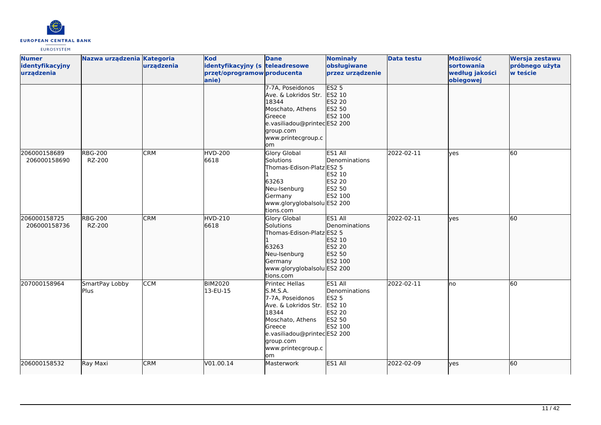

| <b>Numer</b>    | Nazwa urządzenia Kategoria |            | <b>Kod</b>                      | <b>Dane</b>                 | <b>Nominały</b>  | <b>Data testu</b> | Możliwość      | Wersja zestawu |
|-----------------|----------------------------|------------|---------------------------------|-----------------------------|------------------|-------------------|----------------|----------------|
| identyfikacyjny |                            | urządzenia | identyfikacyjny (s teleadresowe |                             | obsługiwane      |                   | sortowania     | próbnego użyta |
| urządzenia      |                            |            | przęt/oprogramow producenta     |                             | przez urządzenie |                   | według jakości | w teście       |
|                 |                            |            | anie)                           |                             |                  |                   | obiegowej      |                |
|                 |                            |            |                                 | 7-7A, Poseidonos            | ES2 <sub>5</sub> |                   |                |                |
|                 |                            |            |                                 | Ave. & Lokridos Str.        | ES2 10           |                   |                |                |
|                 |                            |            |                                 | 18344                       | ES2 20           |                   |                |                |
|                 |                            |            |                                 | Moschato, Athens            | ES2 50           |                   |                |                |
|                 |                            |            |                                 | Greece                      | <b>ES2 100</b>   |                   |                |                |
|                 |                            |            |                                 | e.vasiliadou@printecES2 200 |                  |                   |                |                |
|                 |                            |            |                                 | group.com                   |                  |                   |                |                |
|                 |                            |            |                                 | www.printecgroup.c          |                  |                   |                |                |
|                 |                            |            |                                 | om                          |                  |                   |                |                |
| 206000158689    | <b>RBG-200</b>             | <b>CRM</b> | <b>HVD-200</b>                  | <b>Glory Global</b>         | ES1 All          | 2022-02-11        | <b>ves</b>     | 60             |
| 206000158690    | RZ-200                     |            | 6618                            | Solutions                   | Denominations    |                   |                |                |
|                 |                            |            |                                 | Thomas-Edison-Platz ES2 5   |                  |                   |                |                |
|                 |                            |            |                                 |                             | ES2 10           |                   |                |                |
|                 |                            |            |                                 | 63263                       | <b>ES2 20</b>    |                   |                |                |
|                 |                            |            |                                 | Neu-Isenburg                | ES2 50           |                   |                |                |
|                 |                            |            |                                 | Germany                     | ES2 100          |                   |                |                |
|                 |                            |            |                                 | www.gloryglobalsolu ES2 200 |                  |                   |                |                |
|                 |                            |            |                                 | tions.com                   |                  |                   |                |                |
| 206000158725    | <b>RBG-200</b>             | <b>CRM</b> | <b>HVD-210</b>                  | <b>Glory Global</b>         | ES1 All          | 2022-02-11        | lves           | 60             |
| 206000158736    | RZ-200                     |            | 6618                            | Solutions                   | Denominations    |                   |                |                |
|                 |                            |            |                                 | Thomas-Edison-Platz ES2 5   |                  |                   |                |                |
|                 |                            |            |                                 |                             | ES2 10           |                   |                |                |
|                 |                            |            |                                 | 63263                       | ES2 20           |                   |                |                |
|                 |                            |            |                                 | Neu-Isenburg                | ES2 50           |                   |                |                |
|                 |                            |            |                                 | Germany                     | ES2 100          |                   |                |                |
|                 |                            |            |                                 | www.gloryglobalsolu ES2 200 |                  |                   |                |                |
|                 |                            |            |                                 | tions.com                   |                  |                   |                |                |
| 207000158964    | SmartPay Lobby             | <b>CCM</b> | <b>BIM2020</b>                  | Printec Hellas              | ES1 All          | 2022-02-11        | no             | 60             |
|                 | Plus                       |            | 13-EU-15                        | S.M.S.A.                    | Denominations    |                   |                |                |
|                 |                            |            |                                 | 7-7A, Poseidonos            | <b>ES2 5</b>     |                   |                |                |
|                 |                            |            |                                 | Ave. & Lokridos Str.        | ES2 10           |                   |                |                |
|                 |                            |            |                                 | 18344                       | ES2 20           |                   |                |                |
|                 |                            |            |                                 | Moschato, Athens            | <b>ES2 50</b>    |                   |                |                |
|                 |                            |            |                                 | <b>G</b> reece              | ES2 100          |                   |                |                |
|                 |                            |            |                                 | e.vasiliadou@printecES2 200 |                  |                   |                |                |
|                 |                            |            |                                 | group.com                   |                  |                   |                |                |
|                 |                            |            |                                 | www.printecgroup.c          |                  |                   |                |                |
|                 |                            |            |                                 | lom                         |                  |                   |                |                |
| 206000158532    | Ray Maxi                   | <b>CRM</b> | V01.00.14                       | Masterwork                  | ES1 All          | 2022-02-09        | yes            | 60             |
|                 |                            |            |                                 |                             |                  |                   |                |                |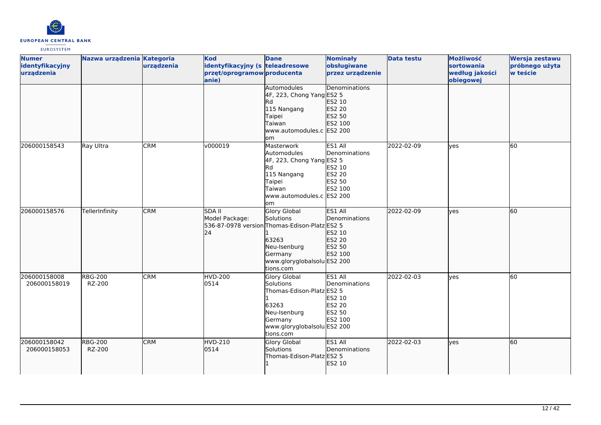

| <b>Numer</b><br>identyfikacyjny<br>urządzenia | Nazwa urządzenia Kategoria | urządzenia | Kod<br>identyfikacyjny (s teleadresowe<br>przęt/oprogramow producenta<br>anie) | <b>Dane</b>                                                                                                                                                       | <b>Nominały</b><br>obsługiwane<br>przez urządzenie                        | <b>Data testu</b> | Możliwość<br><b>sortowania</b><br>według jakości<br>obiegowej | Wersja zestawu<br>próbnego użyta<br>w teście |
|-----------------------------------------------|----------------------------|------------|--------------------------------------------------------------------------------|-------------------------------------------------------------------------------------------------------------------------------------------------------------------|---------------------------------------------------------------------------|-------------------|---------------------------------------------------------------|----------------------------------------------|
|                                               |                            |            |                                                                                | Automodules<br>4F, 223, Chong Yang ES2 5<br>Rd<br>115 Nangang<br>Taipei<br>Taiwan<br>www.automodules.c ES2 200<br>lom                                             | Denominations<br>ES2 10<br>ES2 20<br>ES2 50<br>ES2 100                    |                   |                                                               |                                              |
| 206000158543                                  | Ray Ultra                  | <b>CRM</b> | v000019                                                                        | Masterwork<br>Automodules<br>$4F$ , 223, Chong Yang ES2 5<br>Rd<br>115 Nangang<br>Taipei<br>Taiwan<br>www.automodules.c ES2 200<br>lom                            | ES1 All<br>Denominations<br>ES2 10<br><b>ES2 20</b><br>ES2 50<br>ES2 100  | 2022-02-09        | yes                                                           | 60                                           |
| 206000158576                                  | TellerInfinity             | <b>CRM</b> | <b>SDA II</b><br>Model Package:<br>24                                          | <b>Glory Global</b><br>Solutions<br>536-87-0978 version Thomas-Edison-Platz ES2 5<br>63263<br>Neu-Isenburg<br>Germany<br>www.gloryglobalsolu ES2 200<br>tions.com | ES1 All<br><b>IDenominations</b><br>ES2 10<br>ES2 20<br>ES2 50<br>ES2 100 | 2022-02-09        | lves                                                          | 60                                           |
| 206000158008<br>206000158019                  | <b>RBG-200</b><br>RZ-200   | <b>CRM</b> | <b>HVD-200</b><br>0514                                                         | Glory Global<br>Solutions<br>Thomas-Edison-Platz ES2 5<br>63263<br>Neu-Isenburg<br>Germany<br>www.gloryglobalsolu ES2 200<br>tions.com                            | ES1 All<br>Denominations<br>ES2 10<br>ES2 20<br><b>ES2 50</b><br>ES2 100  | 2022-02-03        | <b>ves</b>                                                    | 60                                           |
| 206000158042<br>206000158053                  | <b>RBG-200</b><br>RZ-200   | <b>CRM</b> | HVD-210<br>0514                                                                | Glory Global<br>Solutions<br>Thomas-Edison-Platz ES2 5                                                                                                            | <b>ES1 AII</b><br>Denominations<br>ES2 10                                 | 2022-02-03        | lyes                                                          | 60                                           |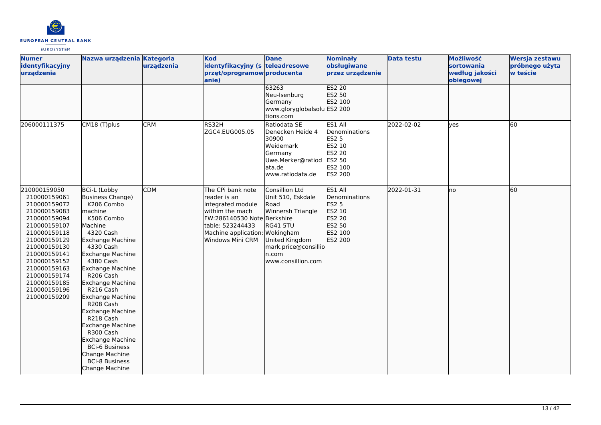

| <b>Numer</b><br>identyfikacyjny<br>urządzenia                                                                                                                                                                                                                | Nazwa urządzenia Kategoria                                                                                                                                                                                                                                                                                                                                                                                                                                                                         | urządzenia | Kod<br>identyfikacyjny (s teleadresowe<br>przęt/oprogramow producenta<br>anie)                                                                                                      | <b>Dane</b><br>63263                                                                                                                                  | <b>Nominały</b><br>obsługiwane<br>przez urządzenie<br><b>ES2 20</b>                                               | <b>Data testu</b> | Możliwość<br>sortowania<br>według jakości<br>obiegowej | Wersja zestawu<br>próbnego użyta<br>w teście |
|--------------------------------------------------------------------------------------------------------------------------------------------------------------------------------------------------------------------------------------------------------------|----------------------------------------------------------------------------------------------------------------------------------------------------------------------------------------------------------------------------------------------------------------------------------------------------------------------------------------------------------------------------------------------------------------------------------------------------------------------------------------------------|------------|-------------------------------------------------------------------------------------------------------------------------------------------------------------------------------------|-------------------------------------------------------------------------------------------------------------------------------------------------------|-------------------------------------------------------------------------------------------------------------------|-------------------|--------------------------------------------------------|----------------------------------------------|
|                                                                                                                                                                                                                                                              |                                                                                                                                                                                                                                                                                                                                                                                                                                                                                                    |            |                                                                                                                                                                                     | Neu-Isenburg<br>Germany<br>www.gloryglobalsolu ES2 200<br>tions.com                                                                                   | ES2 50<br>ES2 100                                                                                                 |                   |                                                        |                                              |
| 206000111375                                                                                                                                                                                                                                                 | CM18 (T)plus                                                                                                                                                                                                                                                                                                                                                                                                                                                                                       | <b>CRM</b> | RS32H<br>ZGC4.EUG005.05                                                                                                                                                             | Ratiodata SE<br>Denecken Heide 4<br>30900<br>Weidemark<br>Germany<br>Uwe.Merker@ratiod<br>ata.de<br>www.ratiodata.de                                  | ES1 All<br>Denominations<br><b>ES2 5</b><br>ES2 10<br><b>ES2 20</b><br><b>ES2 50</b><br>ES2 100<br><b>ES2 200</b> | 2022-02-02        | <b>ves</b>                                             | 60                                           |
| 210000159050<br>210000159061<br>210000159072<br>210000159083<br>210000159094<br>210000159107<br>210000159118<br>210000159129<br>210000159130<br>210000159141<br>210000159152<br>210000159163<br>210000159174<br>210000159185<br>210000159196<br>210000159209 | <b>BCi-L (Lobby</b><br>Business Change)<br>K206 Combo<br><b>Imachine</b><br>K506 Combo<br>Machine<br>4320 Cash<br><b>Exchange Machine</b><br>4330 Cash<br>Exchange Machine<br>4380 Cash<br>Exchange Machine<br>R206 Cash<br><b>Exchange Machine</b><br>R216 Cash<br><b>Exchange Machine</b><br>R208 Cash<br><b>Exchange Machine</b><br>R218 Cash<br><b>Exchange Machine</b><br>R300 Cash<br>Exchange Machine<br><b>BCi-6 Business</b><br>Change Machine<br><b>BCi-8 Business</b><br>Change Machine | <b>CDM</b> | The CPi bank note<br>lreader is an<br>integrated module<br>withim the mach<br>FW:286140530 Note Berkshire<br>table: 523244433<br>Machine application: Wokingham<br>Windows Mini CRM | Consillion Ltd<br>Unit 510, Eskdale<br>Road<br>Winnersh Triangle<br>RG41 5TU<br>United Kingdom<br>mark.price@consillio<br>n.com<br>www.consillion.com | ES1 All<br>Denominations<br><b>ES2 5</b><br>ES2 10<br>ES2 20<br>ES2 50<br>ES2 100<br>ES2 200                      | 2022-01-31        | Ino                                                    | 60                                           |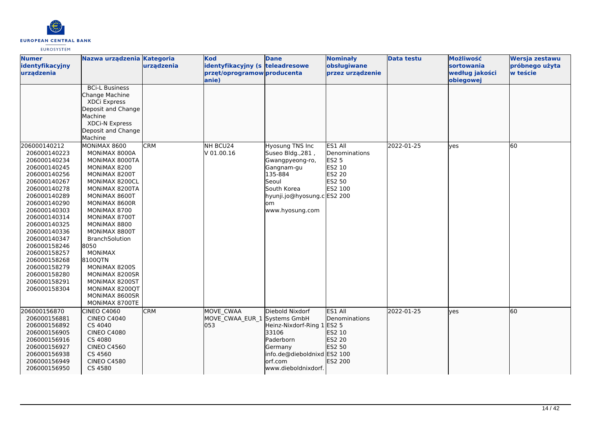

| <b>Numer</b><br>identyfikacyjny<br>urządzenia                                                                                                                                                                                                                                                                                                | Nazwa urządzenia Kategoria                                                                                                                                                                                                                                                                                                                                                                        | urządzenia | <b>Kod</b><br>identyfikacyjny (s teleadresowe<br>przęt/oprogramow producenta<br>anie) | <b>Dane</b>                                                                                                                                                              | <b>Nominały</b><br>obsługiwane<br>przez urządzenie                                | <b>Data testu</b> | Możliwość<br><b>sortowania</b><br>według jakości<br>obiegowej | Wersja zestawu<br>próbnego użyta<br>w teście |
|----------------------------------------------------------------------------------------------------------------------------------------------------------------------------------------------------------------------------------------------------------------------------------------------------------------------------------------------|---------------------------------------------------------------------------------------------------------------------------------------------------------------------------------------------------------------------------------------------------------------------------------------------------------------------------------------------------------------------------------------------------|------------|---------------------------------------------------------------------------------------|--------------------------------------------------------------------------------------------------------------------------------------------------------------------------|-----------------------------------------------------------------------------------|-------------------|---------------------------------------------------------------|----------------------------------------------|
|                                                                                                                                                                                                                                                                                                                                              | <b>BCi-L Business</b><br>Change Machine<br>XDCi Express<br>Deposit and Change<br>Machine<br><b>XDCi-N Express</b><br>Deposit and Change<br>Machine                                                                                                                                                                                                                                                |            |                                                                                       |                                                                                                                                                                          |                                                                                   |                   |                                                               |                                              |
| 206000140212<br>206000140223<br>206000140234<br>206000140245<br>206000140256<br>206000140267<br>206000140278<br>206000140289<br>206000140290<br>206000140303<br>206000140314<br>206000140325<br>206000140336<br>206000140347<br>206000158246<br>206000158257<br>206000158268<br>206000158279<br>206000158280<br>206000158291<br>206000158304 | MONIMAX 8600<br>MONIMAX 8000A<br>MONIMAX 8000TA<br>MONIMAX 8200<br>MONIMAX 8200T<br>MONIMAX 8200CL<br>MONIMAX 8200TA<br>MONIMAX 8600T<br>MONIMAX 8600R<br>MONIMAX 8700<br>MONIMAX 8700T<br>MONIMAX 8800<br>MONIMAX 8800T<br><b>BranchSolution</b><br>8050<br><b>MONIMAX</b><br>8100QTN<br>MONIMAX 8200S<br>MONIMAX 8200SR<br>MONIMAX 8200ST<br>MONIMAX 8200QT<br>MONIMAX 8600SR<br>MONIMAX 8700TE | <b>CRM</b> | NH BCU24<br>V 01.00.16                                                                | Hyosung TNS Inc<br>Suseo Bldg., 281,<br>Gwangpyeong-ro,<br>Gangnam-gu<br>135-884<br>Seoul<br><b>South Korea</b><br>hyunji.jo@hyosung.c ES2 200<br>lom<br>www.hyosung.com | ES1 All<br>Denominations<br><b>ES2 5</b><br>ES2 10<br>ES2 20<br>ES2 50<br>ES2 100 | 2022-01-25        | yes                                                           | 60                                           |
| 206000156870<br>206000156881<br>206000156892<br>206000156905<br>206000156916<br>206000156927<br>206000156938<br>206000156949<br>206000156950                                                                                                                                                                                                 | <b>CINEO C4060</b><br><b>CINEO C4040</b><br>CS 4040<br><b>CINEO C4080</b><br>CS 4080<br><b>CINEO C4560</b><br>CS 4560<br><b>CINEO C4580</b><br>CS 4580                                                                                                                                                                                                                                            | <b>CRM</b> | MOVE CWAA<br>MOVE CWAA EUR 1 Systems GmbH<br>053                                      | Diebold Nixdorf<br>Heinz-Nixdorf-Ring 1<br>33106<br>Paderborn<br>Germany<br>info.de@dieboldnixd ES2 100<br>orf.com<br>www.dieboldnixdorf.                                | ES1 All<br>Denominations<br>ES2 5<br>ES2 10<br>ES2 20<br>ES2 50<br>ES2 200        | 2022-01-25        | ves                                                           | 60                                           |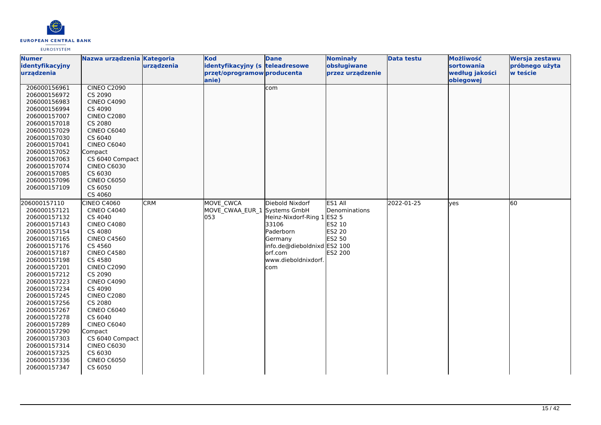

| <b>Numer</b><br>Nazwa urządzenia Kategoria<br><b>Kod</b><br><b>Dane</b><br><b>Nominały</b>  | <b>Data testu</b> | Możliwość      | Wersja zestawu |
|---------------------------------------------------------------------------------------------|-------------------|----------------|----------------|
| obsługiwane<br>identyfikacyjny<br>urządzenia<br>identyfikacyjny (s teleadresowe             |                   | sortowania     | próbnego użyta |
| urządzenia<br>przęt/oprogramow producenta<br>przez urządzenie                               |                   | według jakości | w teście       |
| anie)                                                                                       |                   | obiegowej      |                |
| <b>CINEO C2090</b><br>206000156961<br>com                                                   |                   |                |                |
| 206000156972<br>CS 2090                                                                     |                   |                |                |
| <b>CINEO C4090</b><br>206000156983                                                          |                   |                |                |
| CS 4090<br>206000156994                                                                     |                   |                |                |
| 206000157007<br><b>CINEO C2080</b>                                                          |                   |                |                |
| CS 2080<br>206000157018                                                                     |                   |                |                |
| <b>CINEO C6040</b><br>206000157029                                                          |                   |                |                |
| CS 6040<br>206000157030                                                                     |                   |                |                |
| 206000157041<br><b>CINEO C6040</b>                                                          |                   |                |                |
| 206000157052<br>Compact                                                                     |                   |                |                |
| 206000157063<br>CS 6040 Compact                                                             |                   |                |                |
| <b>CINEO C6030</b><br>206000157074                                                          |                   |                |                |
| 206000157085<br>CS 6030                                                                     |                   |                |                |
| <b>CINEO C6050</b><br>206000157096                                                          |                   |                |                |
| 206000157109<br>CS 6050                                                                     |                   |                |                |
| CS 4060                                                                                     |                   |                |                |
| 206000157110<br>CINEO C4060<br><b>CRM</b><br><b>MOVE CWCA</b><br>Diebold Nixdorf<br>ES1 All | 2022-01-25        | <b>ves</b>     | 60             |
| MOVE CWAA EUR 1 Systems GmbH<br>206000157121<br><b>CINEO C4040</b><br>Denominations         |                   |                |                |
| 053<br>Heinz-Nixdorf-Ring 1 ES2 5<br>206000157132<br>CS 4040                                |                   |                |                |
| ES2 10<br><b>CINEO C4080</b><br>33106<br>206000157143                                       |                   |                |                |
| Paderborn<br><b>ES2 20</b><br>206000157154<br>CS 4080                                       |                   |                |                |
| <b>ES2 50</b><br><b>CINEO C4560</b><br>Germany<br>206000157165                              |                   |                |                |
| CS 4560<br>info.de@dieboldnixd ES2 100<br>206000157176                                      |                   |                |                |
| ES2 200<br>206000157187<br><b>CINEO C4580</b><br>lorf.com                                   |                   |                |                |
| www.dieboldnixdorf.<br>CS 4580<br>206000157198                                              |                   |                |                |
| <b>CINEO C2090</b><br>206000157201<br>com                                                   |                   |                |                |
| 206000157212<br>CS 2090                                                                     |                   |                |                |
| 206000157223<br><b>CINEO C4090</b>                                                          |                   |                |                |
| CS 4090<br>206000157234                                                                     |                   |                |                |
| 206000157245<br><b>CINEO C2080</b>                                                          |                   |                |                |
| 206000157256<br>CS 2080                                                                     |                   |                |                |
| <b>CINEO C6040</b><br>206000157267                                                          |                   |                |                |
| CS 6040<br>206000157278                                                                     |                   |                |                |
| <b>CINEO C6040</b><br>206000157289                                                          |                   |                |                |
| 206000157290<br>Compact                                                                     |                   |                |                |
| 206000157303<br>CS 6040 Compact                                                             |                   |                |                |
| <b>CINEO C6030</b><br>206000157314                                                          |                   |                |                |
| CS 6030<br>206000157325                                                                     |                   |                |                |
| 206000157336<br><b>CINEO C6050</b>                                                          |                   |                |                |
| CS 6050<br>206000157347                                                                     |                   |                |                |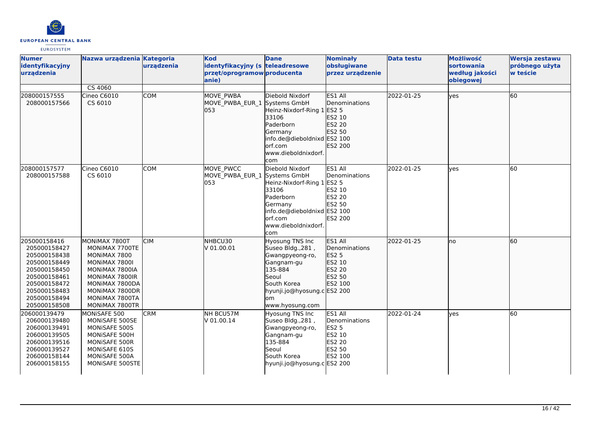

| <b>Numer</b><br>identyfikacyjny<br>urządzenia                                                                                                                | Nazwa urządzenia Kategoria                                                                                                                                                   | urządzenia | <b>Kod</b><br>identyfikacyjny (s teleadresowe<br>przęt/oprogramow producenta<br>lanie) | <b>Dane</b>                                                                                                                                                             | <b>Nominały</b><br>obsługiwane<br>przez urządzenie                                        | <b>Data testu</b> | Możliwość<br>sortowania<br>według jakości<br>obiegowej | Wersja zestawu<br>próbnego użyta<br>w teście |
|--------------------------------------------------------------------------------------------------------------------------------------------------------------|------------------------------------------------------------------------------------------------------------------------------------------------------------------------------|------------|----------------------------------------------------------------------------------------|-------------------------------------------------------------------------------------------------------------------------------------------------------------------------|-------------------------------------------------------------------------------------------|-------------------|--------------------------------------------------------|----------------------------------------------|
|                                                                                                                                                              | CS 4060                                                                                                                                                                      |            |                                                                                        |                                                                                                                                                                         |                                                                                           |                   |                                                        |                                              |
| 208000157555<br>208000157566                                                                                                                                 | Cineo C6010<br>CS 6010                                                                                                                                                       | <b>COM</b> | MOVE PWBA<br>MOVE PWBA EUR 1<br>l053                                                   | Diebold Nixdorf<br>Systems GmbH<br>Heinz-Nixdorf-Ring 1 ES2 5<br>33106<br>Paderborn<br>Germany<br>info.de@dieboldnixd ES2 100<br>lorf.com<br>www.dieboldnixdorf.<br>com | ES1 All<br><b>IDenominations</b><br>ES2 10<br>ES2 20<br>ES2 50<br>ES2 200                 | 2022-01-25        | <b>l</b> ves                                           | 60                                           |
| 208000157577<br>208000157588                                                                                                                                 | Cineo C6010<br>CS 6010                                                                                                                                                       | <b>COM</b> | MOVE PWCC<br>MOVE PWBA EUR 1<br>053                                                    | Diebold Nixdorf<br>Systems GmbH<br>Heinz-Nixdorf-Ring 1 ES2 5<br>33106<br>Paderborn<br>Germany<br>info.de@dieboldnixd ES2 100<br>orf.com<br>www.dieboldnixdorf.<br>com  | ES1 All<br>Denominations<br>ES2 10<br>ES2 20<br>ES2 50<br>ES2 200                         | 2022-01-25        | <b>ves</b>                                             | 60                                           |
| 205000158416<br>205000158427<br>205000158438<br>205000158449<br>205000158450<br>205000158461<br>205000158472<br>205000158483<br>205000158494<br>205000158508 | MONIMAX 7800T<br>MONIMAX 7700TE<br>MONIMAX 7800<br>MONIMAX 7800I<br>MONIMAX 7800IA<br>MONIMAX 7800IR<br>MONIMAX 7800DA<br>MONIMAX 7800DR<br>MONIMAX 7800TA<br>MONIMAX 7800TR | <b>CIM</b> | NHBCU30<br>V 01.00.01                                                                  | Hyosung TNS Inc<br>Suseo Bldg., 281,<br>Gwangpyeong-ro,<br>Gangnam-gu<br>135-884<br>Seoul<br>South Korea<br>hyunji.jo@hyosung.c ES2 200<br>om.<br>www.hyosung.com       | ES1 All<br><b>IDenominations</b><br><b>ES2 5</b><br>ES2 10<br>ES2 20<br>ES2 50<br>ES2 100 | 2022-01-25        | Ino                                                    | 60                                           |
| 206000139479<br>206000139480<br>206000139491<br>206000139505<br>206000139516<br>206000139527<br>206000158144<br>206000158155                                 | MONISAFE 500<br>MONISAFE 500SE<br>MONISAFE 500S<br>MONISAFE 500H<br>MONISAFE 500R<br>MONISAFE 610S<br>MONISAFE 500A<br>MONISAFE 500STE                                       | <b>CRM</b> | NH BCU57M<br>V 01.00.14                                                                | Hyosung TNS Inc<br>Suseo Bldg., 281,<br>Gwangpyeong-ro,<br>Gangnam-gu<br>135-884<br>Seoul<br>South Korea<br>hyunji.jo@hyosung.c ES2 200                                 | ES1 All<br>Denominations<br><b>ES2 5</b><br>ES2 10<br>ES2 20<br>ES2 50<br>ES2 100         | 2022-01-24        | lyes                                                   | 60                                           |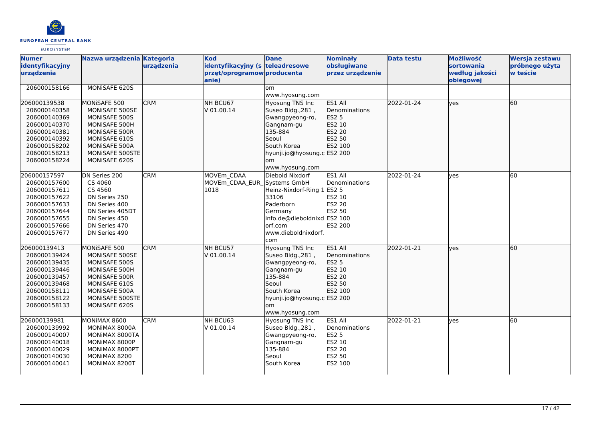

| <b>Numer</b><br>identyfikacyjny<br>urządzenia                                                                                                | Nazwa urządzenia Kategoria                                                                                                                              | urządzenia | <b>Kod</b><br>identyfikacyjny (s teleadresowe<br>przęt/oprogramow producenta<br>anie) | <b>Dane</b>                                                                                                                                                       | <b>Nominały</b><br>obsługiwane<br>przez urządzenie                                       | <b>Data testu</b> | Możliwość<br><b>sortowania</b><br>według jakości<br>obiegowej | Wersja zestawu<br>próbnego użyta<br>w teście |
|----------------------------------------------------------------------------------------------------------------------------------------------|---------------------------------------------------------------------------------------------------------------------------------------------------------|------------|---------------------------------------------------------------------------------------|-------------------------------------------------------------------------------------------------------------------------------------------------------------------|------------------------------------------------------------------------------------------|-------------------|---------------------------------------------------------------|----------------------------------------------|
| 206000158166                                                                                                                                 | MONISAFE 620S                                                                                                                                           |            |                                                                                       | <b>om</b><br>www.hyosung.com                                                                                                                                      |                                                                                          |                   |                                                               |                                              |
| 206000139538<br>206000140358<br>206000140369<br>206000140370<br>206000140381<br>206000140392<br>206000158202<br>206000158213<br>206000158224 | MONISAFE 500<br>MONISAFE 500SE<br>MONISAFE 500S<br>MONISAFE 500H<br>MONISAFE 500R<br>MONISAFE 610S<br>MONISAFE 500A<br>MONISAFE 500STE<br>MONISAFE 620S | <b>CRM</b> | NH BCU67<br>V 01.00.14                                                                | Hyosung TNS Inc<br>Suseo Bldg., 281,<br>Gwangpyeong-ro,<br>Gangnam-gu<br>135-884<br>Seoul<br>South Korea<br>hyunji.jo@hyosung.c ES2 200<br>lom<br>www.hyosung.com | ES1 All<br>Denominations<br>ES2 5<br>ES2 10<br>ES2 20<br>ES2 50<br>ES2 100               | 2022-01-24        | <b>l</b> ves                                                  | l60                                          |
| 206000157597<br>206000157600<br>206000157611<br>206000157622<br>206000157633<br>206000157644<br>206000157655<br>206000157666<br>206000157677 | DN Series 200<br>CS 4060<br>CS 4560<br>DN Series 250<br>DN Series 400<br>DN Series 405DT<br>DN Series 450<br>DN Series 470<br>DN Series 490             | <b>CRM</b> | MOVEm CDAA<br>MOVEm CDAA EUR Systems GmbH<br>1018                                     | Diebold Nixdorf<br>Heinz-Nixdorf-Ring 1<br>33106<br>Paderborn<br>Germany<br>info.de@dieboldnixd ES2 100<br>orf.com<br>www.dieboldnixdorf.<br>com                  | ES1 All<br>Denominations<br><b>ES2 5</b><br>ES2 10<br>ES2 20<br>ES2 50<br>ES2 200        | 2022-01-24        | <b>ves</b>                                                    | 60                                           |
| 206000139413<br>206000139424<br>206000139435<br>206000139446<br>206000139457<br>206000139468<br>206000158111<br>206000158122<br>206000158133 | MONISAFE 500<br>MONISAFE 500SE<br>MONISAFE 500S<br>MONISAFE 500H<br>MONISAFE 500R<br>MONISAFE 610S<br>MONISAFE 500A<br>MONISAFE 500STE<br>MONISAFE 620S | <b>CRM</b> | NH BCU57<br>V 01.00.14                                                                | Hyosung TNS Inc<br>Suseo Bldg., 281,<br>Gwangpyeong-ro,<br>Gangnam-gu<br>135-884<br>Seoul<br>South Korea<br>hyunji.jo@hyosung.c ES2 200<br>lom<br>www.hyosung.com | ES1 All<br>Denominations<br><b>ES2 5</b><br>ES2 10<br>ES2 20<br>ES2 50<br><b>ES2 100</b> | 2022-01-21        | lyes                                                          | 60                                           |
| 206000139981<br>206000139992<br>206000140007<br>206000140018<br>206000140029<br>206000140030<br>206000140041                                 | MONIMAX 8600<br>MONIMAX 8000A<br>MONIMAX 8000TA<br>MONIMAX 8000P<br>MONIMAX 8000PT<br>MONIMAX 8200<br>MONIMAX 8200T                                     | <b>CRM</b> | NH BCU63<br>V 01.00.14                                                                | Hyosung TNS Inc<br>Suseo Bldg., 281,<br>Gwangpyeong-ro,<br>Gangnam-gu<br>135-884<br>Seoul<br>South Korea                                                          | ES1 All<br>Denominations<br><b>ES2 5</b><br>ES2 10<br>ES2 20<br>ES2 50<br>ES2 100        | 2022-01-21        | <b>ves</b>                                                    | 60                                           |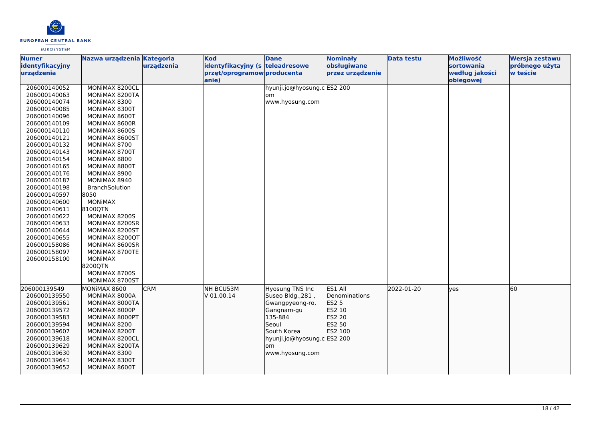

| <b>Numer</b>                  | Nazwa urządzenia Kategoria |            | <b>Kod</b>                                                     | <b>Dane</b>                 | <b>Nominały</b>                 | <b>Data testu</b> | Możliwość                    | Wersja zestawu             |
|-------------------------------|----------------------------|------------|----------------------------------------------------------------|-----------------------------|---------------------------------|-------------------|------------------------------|----------------------------|
| identyfikacyjny<br>urządzenia |                            | urządzenia | identyfikacyjny (s teleadresowe<br>przęt/oprogramow producenta |                             | obsługiwane<br>przez urządzenie |                   | sortowania<br>według jakości | próbnego użyta<br>w teście |
|                               |                            |            | anie)                                                          |                             |                                 |                   | obiegowej                    |                            |
| 206000140052                  | MONIMAX 8200CL             |            |                                                                | hyunji.jo@hyosung.c ES2 200 |                                 |                   |                              |                            |
| 206000140063                  | MONIMAX 8200TA             |            |                                                                | lom                         |                                 |                   |                              |                            |
| 206000140074                  | MONIMAX 8300               |            |                                                                | www.hyosung.com             |                                 |                   |                              |                            |
| 206000140085                  | MONIMAX 8300T              |            |                                                                |                             |                                 |                   |                              |                            |
| 206000140096                  | MONIMAX 8600T              |            |                                                                |                             |                                 |                   |                              |                            |
| 206000140109                  | MONIMAX 8600R              |            |                                                                |                             |                                 |                   |                              |                            |
| 206000140110                  | MONIMAX 8600S              |            |                                                                |                             |                                 |                   |                              |                            |
| 206000140121                  | MONIMAX 8600ST             |            |                                                                |                             |                                 |                   |                              |                            |
| 206000140132                  | MONIMAX 8700               |            |                                                                |                             |                                 |                   |                              |                            |
| 206000140143                  | MONIMAX 8700T              |            |                                                                |                             |                                 |                   |                              |                            |
| 206000140154                  | MONIMAX 8800               |            |                                                                |                             |                                 |                   |                              |                            |
| 206000140165                  | MONIMAX 8800T              |            |                                                                |                             |                                 |                   |                              |                            |
| 206000140176                  | MONIMAX 8900               |            |                                                                |                             |                                 |                   |                              |                            |
| 206000140187                  | MONIMAX 8940               |            |                                                                |                             |                                 |                   |                              |                            |
| 206000140198                  | BranchSolution             |            |                                                                |                             |                                 |                   |                              |                            |
| 206000140597                  | 8050                       |            |                                                                |                             |                                 |                   |                              |                            |
| 206000140600                  | <b>MONIMAX</b>             |            |                                                                |                             |                                 |                   |                              |                            |
| 206000140611                  | 8100QTN                    |            |                                                                |                             |                                 |                   |                              |                            |
| 206000140622                  | MONIMAX 8200S              |            |                                                                |                             |                                 |                   |                              |                            |
| 206000140633                  | MONIMAX 8200SR             |            |                                                                |                             |                                 |                   |                              |                            |
| 206000140644                  | MONIMAX 8200ST             |            |                                                                |                             |                                 |                   |                              |                            |
| 206000140655                  | MONIMAX 8200QT             |            |                                                                |                             |                                 |                   |                              |                            |
| 206000158086                  | MONIMAX 8600SR             |            |                                                                |                             |                                 |                   |                              |                            |
| 206000158097                  | MONIMAX 8700TE             |            |                                                                |                             |                                 |                   |                              |                            |
| 206000158100                  | MONIMAX                    |            |                                                                |                             |                                 |                   |                              |                            |
|                               | 8200QTN                    |            |                                                                |                             |                                 |                   |                              |                            |
|                               | MONIMAX 8700S              |            |                                                                |                             |                                 |                   |                              |                            |
|                               | MONIMAX 8700ST             |            |                                                                |                             |                                 |                   |                              |                            |
| 206000139549                  | MONIMAX 8600               | <b>CRM</b> | NH BCU53M                                                      | Hyosung TNS Inc             | ES1 All                         | 2022-01-20        | lyes                         | 60                         |
| 206000139550                  | MONIMAX 8000A              |            | V 01.00.14                                                     | Suseo Bldg., 281,           | Denominations                   |                   |                              |                            |
| 206000139561                  | MONIMAX 8000TA             |            |                                                                | Gwangpyeong-ro,             | ES2 5                           |                   |                              |                            |
| 206000139572                  | MONIMAX 8000P              |            |                                                                | Gangnam-gu                  | ES2 10                          |                   |                              |                            |
| 206000139583                  | MONIMAX 8000PT             |            |                                                                | 135-884                     | ES2 20                          |                   |                              |                            |
| 206000139594                  | MONIMAX 8200               |            |                                                                | Seoul                       | ES2 50                          |                   |                              |                            |
| 206000139607                  | MONIMAX 8200T              |            |                                                                | South Korea                 | ES2 100                         |                   |                              |                            |
| 206000139618                  | MONIMAX 8200CL             |            |                                                                | hyunji.jo@hyosung.c ES2 200 |                                 |                   |                              |                            |
| 206000139629                  | MONIMAX 8200TA             |            |                                                                | lom                         |                                 |                   |                              |                            |
| 206000139630                  | MONIMAX 8300               |            |                                                                | www.hyosung.com             |                                 |                   |                              |                            |
| 206000139641                  | MONIMAX 8300T              |            |                                                                |                             |                                 |                   |                              |                            |
| 206000139652                  | MONIMAX 8600T              |            |                                                                |                             |                                 |                   |                              |                            |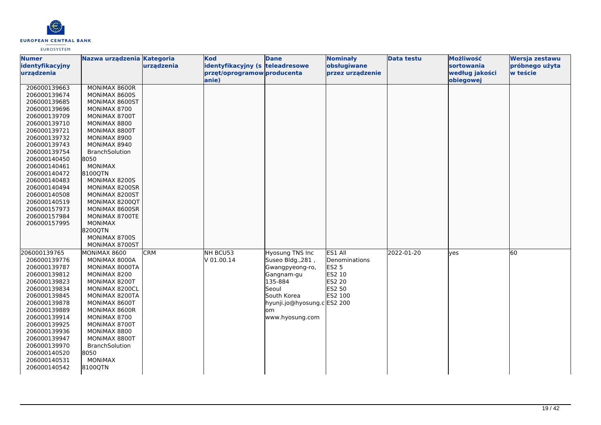

| <b>Numer</b>    | Nazwa urządzenia Kategoria |            | <b>Kod</b>                      | <b>Dane</b>                 | <b>Nominały</b>  | <b>Data testu</b> | Możliwość      | Wersja zestawu |
|-----------------|----------------------------|------------|---------------------------------|-----------------------------|------------------|-------------------|----------------|----------------|
| identyfikacyjny |                            | urządzenia | identyfikacyjny (s teleadresowe |                             | obsługiwane      |                   | sortowania     | próbnego użyta |
| urządzenia      |                            |            | przęt/oprogramow producenta     |                             | przez urządzenie |                   | według jakości | w teście       |
|                 |                            |            | anie)                           |                             |                  |                   | obiegowej      |                |
| 206000139663    | MONIMAX 8600R              |            |                                 |                             |                  |                   |                |                |
| 206000139674    | MONIMAX 8600S              |            |                                 |                             |                  |                   |                |                |
| 206000139685    | MONIMAX 8600ST             |            |                                 |                             |                  |                   |                |                |
| 206000139696    | MONIMAX 8700               |            |                                 |                             |                  |                   |                |                |
| 206000139709    | MONIMAX 8700T              |            |                                 |                             |                  |                   |                |                |
| 206000139710    | MONIMAX 8800               |            |                                 |                             |                  |                   |                |                |
| 206000139721    | MONIMAX 8800T              |            |                                 |                             |                  |                   |                |                |
| 206000139732    | MONIMAX 8900               |            |                                 |                             |                  |                   |                |                |
| 206000139743    | MONIMAX 8940               |            |                                 |                             |                  |                   |                |                |
| 206000139754    | <b>BranchSolution</b>      |            |                                 |                             |                  |                   |                |                |
| 206000140450    | 8050                       |            |                                 |                             |                  |                   |                |                |
| 206000140461    | <b>MONIMAX</b>             |            |                                 |                             |                  |                   |                |                |
| 206000140472    | 8100QTN                    |            |                                 |                             |                  |                   |                |                |
| 206000140483    | MONIMAX 8200S              |            |                                 |                             |                  |                   |                |                |
| 206000140494    | MONIMAX 8200SR             |            |                                 |                             |                  |                   |                |                |
| 206000140508    | MONIMAX 8200ST             |            |                                 |                             |                  |                   |                |                |
| 206000140519    | MONIMAX 8200QT             |            |                                 |                             |                  |                   |                |                |
| 206000157973    | MONIMAX 8600SR             |            |                                 |                             |                  |                   |                |                |
| 206000157984    | MONIMAX 8700TE             |            |                                 |                             |                  |                   |                |                |
| 206000157995    | <b>MONIMAX</b>             |            |                                 |                             |                  |                   |                |                |
|                 | 8200QTN                    |            |                                 |                             |                  |                   |                |                |
|                 | MONIMAX 8700S              |            |                                 |                             |                  |                   |                |                |
|                 | MONIMAX 8700ST             |            |                                 |                             |                  |                   |                |                |
| 206000139765    | MONIMAX 8600               | <b>CRM</b> | NH BCU53                        | Hyosung TNS Inc             | ES1 All          | 2022-01-20        | <b>lves</b>    | 60             |
| 206000139776    | MONIMAX 8000A              |            | V 01.00.14                      | Suseo Bldg., 281,           | Denominations    |                   |                |                |
| 206000139787    | MONIMAX 8000TA             |            |                                 | Gwangpyeong-ro,             | <b>ES2 5</b>     |                   |                |                |
| 206000139812    | MONIMAX 8200               |            |                                 | Gangnam-gu                  | <b>ES2 10</b>    |                   |                |                |
| 206000139823    | MONIMAX 8200T              |            |                                 | 135-884                     | ES2 20           |                   |                |                |
| 206000139834    | MONIMAX 8200CL             |            |                                 | Seoul                       | ES2 50           |                   |                |                |
| 206000139845    | MONIMAX 8200TA             |            |                                 | South Korea                 | ES2 100          |                   |                |                |
| 206000139878    | MONIMAX 8600T              |            |                                 | hyunji.jo@hyosung.c ES2 200 |                  |                   |                |                |
| 206000139889    | MONIMAX 8600R              |            |                                 | lom                         |                  |                   |                |                |
| 206000139914    | MONIMAX 8700               |            |                                 | www.hyosung.com             |                  |                   |                |                |
| 206000139925    | MONIMAX 8700T              |            |                                 |                             |                  |                   |                |                |
| 206000139936    | MONIMAX 8800               |            |                                 |                             |                  |                   |                |                |
| 206000139947    | MONIMAX 8800T              |            |                                 |                             |                  |                   |                |                |
| 206000139970    | <b>BranchSolution</b>      |            |                                 |                             |                  |                   |                |                |
| 206000140520    | 8050                       |            |                                 |                             |                  |                   |                |                |
| 206000140531    | <b>MONIMAX</b>             |            |                                 |                             |                  |                   |                |                |
| 206000140542    | 8100QTN                    |            |                                 |                             |                  |                   |                |                |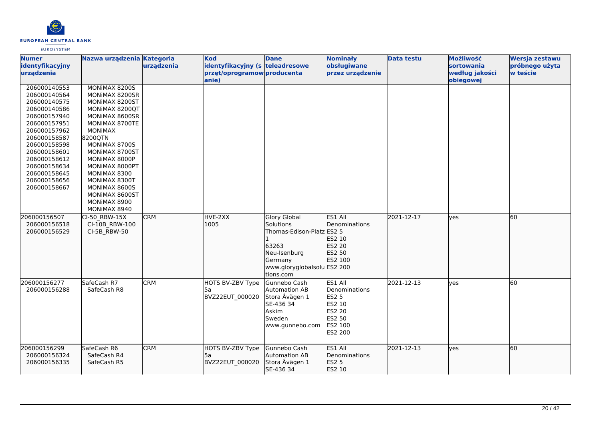

| <b>Numer</b><br>identyfikacyjny | Nazwa urządzenia Kategoria       | urządzenia | <b>Kod</b><br>identyfikacyjny (s teleadresowe | <b>Dane</b>                 | <b>Nominały</b><br>obsługiwane | <b>Data testu</b> | Możliwość<br><b>sortowania</b> | Wersja zestawu<br>próbnego użyta |
|---------------------------------|----------------------------------|------------|-----------------------------------------------|-----------------------------|--------------------------------|-------------------|--------------------------------|----------------------------------|
| urządzenia                      |                                  |            | przęt/oprogramow producenta                   |                             | przez urządzenie               |                   | według jakości                 | w teście                         |
|                                 |                                  |            | lanie)                                        |                             |                                |                   | obiegowej                      |                                  |
| 206000140553                    | MONIMAX 8200S                    |            |                                               |                             |                                |                   |                                |                                  |
| 206000140564                    | MONIMAX 8200SR                   |            |                                               |                             |                                |                   |                                |                                  |
| 206000140575                    | MONIMAX 8200ST                   |            |                                               |                             |                                |                   |                                |                                  |
| 206000140586<br>206000157940    | MONIMAX 8200QT                   |            |                                               |                             |                                |                   |                                |                                  |
| 206000157951                    | MONIMAX 8600SR<br>MONIMAX 8700TE |            |                                               |                             |                                |                   |                                |                                  |
| 206000157962                    | <b>MONIMAX</b>                   |            |                                               |                             |                                |                   |                                |                                  |
| 206000158587                    | 8200QTN                          |            |                                               |                             |                                |                   |                                |                                  |
| 206000158598                    | MONIMAX 8700S                    |            |                                               |                             |                                |                   |                                |                                  |
| 206000158601                    | MONIMAX 8700ST                   |            |                                               |                             |                                |                   |                                |                                  |
| 206000158612                    | MONIMAX 8000P                    |            |                                               |                             |                                |                   |                                |                                  |
| 206000158634                    | MONIMAX 8000PT                   |            |                                               |                             |                                |                   |                                |                                  |
| 206000158645                    | MONIMAX 8300                     |            |                                               |                             |                                |                   |                                |                                  |
| 206000158656                    | MONIMAX 8300T                    |            |                                               |                             |                                |                   |                                |                                  |
| 206000158667                    | MONIMAX 8600S                    |            |                                               |                             |                                |                   |                                |                                  |
|                                 | MONIMAX 8600ST                   |            |                                               |                             |                                |                   |                                |                                  |
|                                 | MONIMAX 8900                     |            |                                               |                             |                                |                   |                                |                                  |
|                                 | MONIMAX 8940                     |            |                                               |                             |                                |                   |                                |                                  |
| 206000156507                    | CI-50 RBW-15X                    | <b>CRM</b> | HVE-2XX                                       | <b>Glory Global</b>         | ES1 All                        | 2021-12-17        | lves                           | 60                               |
| 206000156518                    | CI-10B RBW-100                   |            | 1005                                          | Solutions                   | <b>Denominations</b>           |                   |                                |                                  |
| 206000156529                    | CI-5B_RBW-50                     |            |                                               | Thomas-Edison-Platz ES2 5   |                                |                   |                                |                                  |
|                                 |                                  |            |                                               |                             | ES2 10                         |                   |                                |                                  |
|                                 |                                  |            |                                               | 63263                       | ES2 20                         |                   |                                |                                  |
|                                 |                                  |            |                                               | Neu-Isenburg                | ES2 50                         |                   |                                |                                  |
|                                 |                                  |            |                                               | Germany                     | ES2 100                        |                   |                                |                                  |
|                                 |                                  |            |                                               | www.gloryglobalsolu ES2 200 |                                |                   |                                |                                  |
|                                 |                                  |            |                                               | tions.com                   |                                |                   |                                |                                  |
| 206000156277                    | SafeCash R7                      | <b>CRM</b> | HOTS BV-ZBV Type                              | Gunnebo Cash                | ES1 All                        | 2021-12-13        | lves                           | 60                               |
| 206000156288                    | SafeCash R8                      |            | l5a                                           | Automation AB               | Denominations                  |                   |                                |                                  |
|                                 |                                  |            | BVZ22EUT_000020                               | Stora Åvägen 1              | <b>ES2 5</b>                   |                   |                                |                                  |
|                                 |                                  |            |                                               | SE-436 34                   | ES2 10                         |                   |                                |                                  |
|                                 |                                  |            |                                               | Askim                       | ES2 20                         |                   |                                |                                  |
|                                 |                                  |            |                                               | Sweden                      | ES2 50                         |                   |                                |                                  |
|                                 |                                  |            |                                               | www.gunnebo.com             | ES2 100<br>ES2 200             |                   |                                |                                  |
|                                 |                                  |            |                                               |                             |                                |                   |                                |                                  |
| 206000156299                    | SafeCash R6                      | <b>CRM</b> | HOTS BV-ZBV Type                              | Gunnebo Cash                | ES1 All                        | 2021-12-13        | lves                           | 60                               |
| 206000156324                    | SafeCash R4                      |            | l5a                                           | Automation AB               | Denominations                  |                   |                                |                                  |
| 206000156335                    | SafeCash R5                      |            | <b>BVZ22EUT 000020</b>                        | Stora Åvägen 1              | <b>ES2 5</b>                   |                   |                                |                                  |
|                                 |                                  |            |                                               | SE-436 34                   | ES2 10                         |                   |                                |                                  |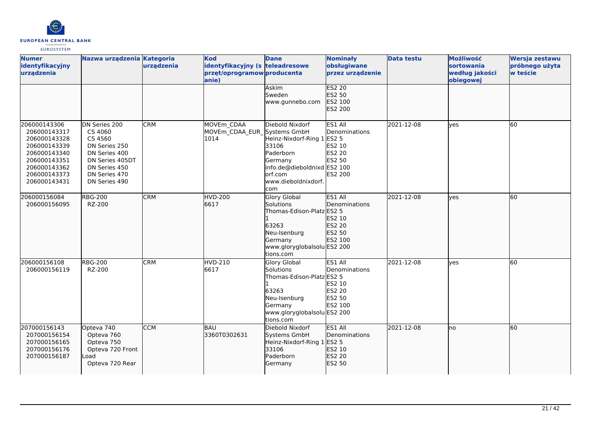

| <b>Numer</b><br>identyfikacyjny<br>urządzenia                                                                                                | Nazwa urządzenia Kategoria                                                                                                                  | urządzenia | <b>Kod</b><br>identyfikacyjny (s teleadresowe<br>przęt/oprogramow producenta<br>anie) | <b>Dane</b>                                                                                                                                       | <b>Nominały</b><br>obsługiwane<br>przez urządzenie                                              | <b>Data testu</b> | Możliwość<br><b>sortowania</b><br>według jakości<br>obiegowej | Wersja zestawu<br>próbnego użyta<br>w teście |
|----------------------------------------------------------------------------------------------------------------------------------------------|---------------------------------------------------------------------------------------------------------------------------------------------|------------|---------------------------------------------------------------------------------------|---------------------------------------------------------------------------------------------------------------------------------------------------|-------------------------------------------------------------------------------------------------|-------------------|---------------------------------------------------------------|----------------------------------------------|
|                                                                                                                                              |                                                                                                                                             |            |                                                                                       | <b>Askim</b><br>Sweden<br>www.gunnebo.com                                                                                                         | <b>ES2 20</b><br>ES2 50<br>ES2 100<br>ES2 200                                                   |                   |                                                               |                                              |
| 206000143306<br>206000143317<br>206000143328<br>206000143339<br>206000143340<br>206000143351<br>206000143362<br>206000143373<br>206000143431 | DN Series 200<br>CS 4060<br>CS 4560<br>DN Series 250<br>DN Series 400<br>DN Series 405DT<br>DN Series 450<br>DN Series 470<br>DN Series 490 | <b>CRM</b> | MOVEm CDAA<br>MOVEm_CDAA_EUR_Systems GmbH<br>1014                                     | Diebold Nixdorf<br>Heinz-Nixdorf-Ring 1<br>33106<br>Paderborn<br>Germany<br>info.de@dieboldnixd ES2 100<br>lorf.com<br>www.dieboldnixdorf.<br>com | ES1 All<br>Denominations<br><b>ES2 5</b><br>ES2 10<br>ES2 20<br><b>ES2 50</b><br><b>ES2 200</b> | 2021-12-08        | yes                                                           | l60                                          |
| 206000156084<br>206000156095                                                                                                                 | <b>RBG-200</b><br>RZ-200                                                                                                                    | <b>CRM</b> | HVD-200<br>6617                                                                       | Glory Global<br>Solutions<br>Thomas-Edison-Platz ES2 5<br>63263<br>Neu-Isenburg<br>Germany<br>www.gloryglobalsolu ES2 200<br>tions.com            | ES1 All<br>Denominations<br><b>ES2 10</b><br>ES2 20<br>ES2 50<br>ES2 100                        | 2021-12-08        | yes                                                           | 60                                           |
| 206000156108<br>206000156119                                                                                                                 | <b>RBG-200</b><br>RZ-200                                                                                                                    | <b>CRM</b> | HVD-210<br>6617                                                                       | Glory Global<br>Solutions<br>Thomas-Edison-Platz ES2 5<br>63263<br>Neu-Isenburg<br>Germany<br>www.gloryglobalsolu ES2 200<br>tions.com            | ES1 All<br>Denominations<br>ES2 10<br>ES2 20<br>ES2 50<br>ES2 100                               | 2021-12-08        | ves                                                           | 60                                           |
| 207000156143<br>207000156154<br>207000156165<br>207000156176<br>207000156187                                                                 | Opteva 740<br>Opteva 760<br>Opteva 750<br>Opteva 720 Front<br>Load<br>Opteva 720 Rear                                                       | <b>CCM</b> | BAU<br>3360T0302631                                                                   | Diebold Nixdorf<br>Systems GmbH<br>Heinz-Nixdorf-Ring 1 ES2 5<br>33106<br>Paderborn<br>Germany                                                    | ES1 All<br><b>IDenominations</b><br>ES2 10<br>ES2 20<br><b>ES2 50</b>                           | 2021-12-08        | lno                                                           | 60                                           |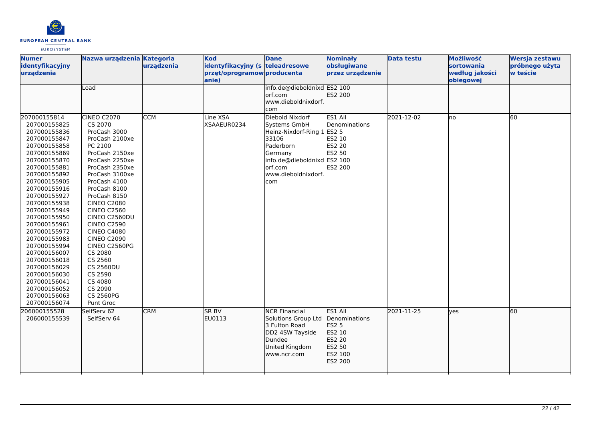

| <b>Numer</b><br>identyfikacyjny<br>urządzenia                                                                                                                                                                                                                                                                                                                                                                                                | Nazwa urządzenia Kategoria                                                                                                                                                                                                                                                                                                                                                                                                                                     | urządzenia       | <b>Kod</b><br>identyfikacyjny (s teleadresowe<br>przęt/oprogramow producenta<br>anie) | <b>Dane</b>                                                                                                                                                            | <b>Nominały</b><br>obsługiwane<br>przez urządzenie                                           | <b>Data testu</b> | Możliwość<br>sortowania<br>według jakości<br>obiegowej | Wersja zestawu<br>próbnego użyta<br>w teście |
|----------------------------------------------------------------------------------------------------------------------------------------------------------------------------------------------------------------------------------------------------------------------------------------------------------------------------------------------------------------------------------------------------------------------------------------------|----------------------------------------------------------------------------------------------------------------------------------------------------------------------------------------------------------------------------------------------------------------------------------------------------------------------------------------------------------------------------------------------------------------------------------------------------------------|------------------|---------------------------------------------------------------------------------------|------------------------------------------------------------------------------------------------------------------------------------------------------------------------|----------------------------------------------------------------------------------------------|-------------------|--------------------------------------------------------|----------------------------------------------|
|                                                                                                                                                                                                                                                                                                                                                                                                                                              | Load                                                                                                                                                                                                                                                                                                                                                                                                                                                           |                  |                                                                                       | info.de@dieboldnixd ES2 100<br>orf.com<br>www.dieboldnixdorf.<br>com                                                                                                   | ES2 200                                                                                      |                   |                                                        |                                              |
| 207000155814<br>207000155825<br>207000155836<br>207000155847<br>207000155858<br>207000155869<br>207000155870<br>207000155881<br>207000155892<br>207000155905<br>207000155916<br>207000155927<br>207000155938<br>207000155949<br>207000155950<br>207000155961<br>207000155972<br>207000155983<br>207000155994<br>207000156007<br>207000156018<br>207000156029<br>207000156030<br>207000156041<br>207000156052<br>207000156063<br>207000156074 | <b>CINEO C2070</b><br>CS 2070<br>ProCash 3000<br>ProCash 2100xe<br>PC 2100<br>ProCash 2150xe<br>ProCash 2250xe<br>ProCash 2350xe<br>ProCash 3100xe<br>ProCash 4100<br>ProCash 8100<br>ProCash 8150<br><b>CINEO C2080</b><br><b>CINEO C2560</b><br>CINEO C2560DU<br><b>CINEO C2590</b><br><b>CINEO C4080</b><br><b>CINEO C2090</b><br>CINEO C2560PG<br>CS 2080<br>CS 2560<br><b>CS 2560DU</b><br>CS 2590<br>CS 4080<br>CS 2090<br><b>CS 2560PG</b><br>Punt Groc | $\overline{CCM}$ | Line XSA<br>XSAAEUR0234                                                               | Diebold Nixdorf<br>Systems GmbH<br>Heinz-Nixdorf-Ring 1 ES2 5<br>33106<br>Paderborn<br>Germany<br>info.de@dieboldnixd ES2 100<br>orf.com<br>www.dieboldnixdorf.<br>com | ES1 All<br>Denominations<br>ES2 10<br>ES2 20<br>ES2 50<br>ES2 200                            | 2021-12-02        | lno                                                    | 60                                           |
| 206000155528<br>206000155539                                                                                                                                                                                                                                                                                                                                                                                                                 | SelfServ 62<br>SelfServ 64                                                                                                                                                                                                                                                                                                                                                                                                                                     | <b>CRM</b>       | <b>SR BV</b><br>EU0113                                                                | <b>NCR Financial</b><br>Solutions Group Ltd<br>3 Fulton Road<br>DD2 4SW Tayside<br>Dundee<br>United Kingdom<br>www.ncr.com                                             | ES1 All<br>Denominations<br><b>ES2 5</b><br>ES2 10<br>ES2 20<br>ES2 50<br>ES2 100<br>ES2 200 | 2021-11-25        | lves                                                   | 60                                           |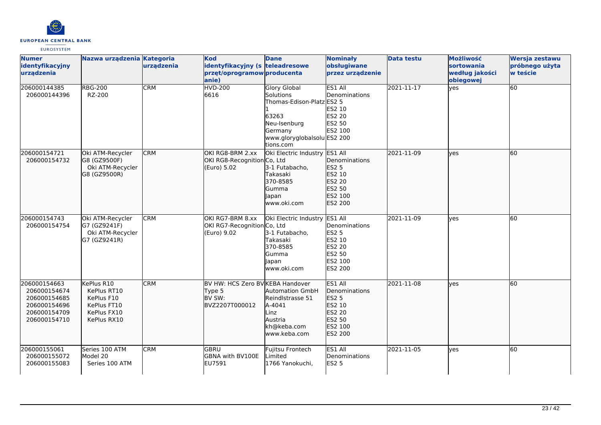

| <b>Numer</b><br>identyfikacyjny<br>urzadzenia                                                | Nazwa urządzenia Kategoria                                                           | urządzenia | <b>Kod</b><br>identyfikacyjny (s teleadresowe<br>przęt/oprogramow producenta<br>lanie) | <b>Dane</b>                                                                                                                                   | <b>Nominały</b><br>obsługiwane<br>przez urządzenie                                           | <b>Data testu</b> | Możliwość<br>sortowania<br>według jakości<br>obiegowej | Wersja zestawu<br>próbnego użyta<br>w teście |
|----------------------------------------------------------------------------------------------|--------------------------------------------------------------------------------------|------------|----------------------------------------------------------------------------------------|-----------------------------------------------------------------------------------------------------------------------------------------------|----------------------------------------------------------------------------------------------|-------------------|--------------------------------------------------------|----------------------------------------------|
| 206000144385<br>206000144396                                                                 | <b>RBG-200</b><br>RZ-200                                                             | <b>CRM</b> | <b>HVD-200</b><br>6616                                                                 | <b>Glory Global</b><br>Solutions<br>Thomas-Edison-Platz ES2 5<br>63263<br>Neu-Isenburg<br>Germany<br>www.gloryglobalsolu ES2 200<br>tions.com | ES1 All<br>Denominations<br>ES2 10<br><b>ES2 20</b><br>ES2 50<br>ES2 100                     | 2021-11-17        | yes                                                    | 60                                           |
| 206000154721<br>206000154732                                                                 | Oki ATM-Recycler<br>G8 (GZ9500F)<br>Oki ATM-Recycler<br>G8 (GZ9500R)                 | <b>CRM</b> | OKI RG8-BRM 2.xx<br>OKI RG8-Recognition Co, Ltd<br>(Euro) 5.02                         | Oki Electric Industry ES1 All<br>3-1 Futabacho,<br>Takasaki<br>370-8585<br>Gumma<br>Japan<br>www.oki.com                                      | Denominations<br>ES2 5<br>ES2 10<br>ES2 20<br>ES2 50<br>ES2 100<br>ES2 200                   | 2021-11-09        | ves                                                    | 60                                           |
| 206000154743<br>206000154754                                                                 | Oki ATM-Recycler<br>G7 (GZ9241F)<br>Oki ATM-Recycler<br>G7 (GZ9241R)                 | <b>CRM</b> | OKI RG7-BRM 8.xx<br>OKI RG7-RecognitionCo, Ltd<br>(Euro) 9.02                          | Oki Electric Industry<br>3-1 Futabacho,<br><b>Takasaki</b><br>370-8585<br>lGumma<br>Japan<br>www.oki.com                                      | ES1 All<br>Denominations<br><b>ES2 5</b><br>ES2 10<br>ES2 20<br>ES2 50<br>ES2 100<br>ES2 200 | 2021-11-09        | ves                                                    | 60                                           |
| 206000154663<br>206000154674<br>206000154685<br>206000154696<br>206000154709<br>206000154710 | KePlus R10<br>KePlus RT10<br>KePlus F10<br>KePlus FT10<br>KePlus FX10<br>KePlus RX10 | <b>CRM</b> | BV HW: HCS Zero BV KEBA Handover<br>Type 5<br>BV SW:<br>BVZ2207T000012                 | <b>Automation GmbH</b><br>Reindlstrasse 51<br>A-4041<br>Linz<br>Austria<br>kh@keba.com<br>www.keba.com                                        | ES1 All<br>Denominations<br>ES2 5<br>ES2 10<br>ES2 20<br>ES2 50<br>ES2 100<br>ES2 200        | 2021-11-08        | lves                                                   | 60                                           |
| 206000155061<br>206000155072<br>206000155083                                                 | Series 100 ATM<br>Model 20<br>Series 100 ATM                                         | <b>CRM</b> | <b>GBRU</b><br>GBNA with BV100E<br>EU7591                                              | Fujitsu Frontech<br>_imited<br>1766 Yanokuchi,                                                                                                | ES1 All<br>Denominations<br><b>ES2 5</b>                                                     | 2021-11-05        | ves                                                    | 60                                           |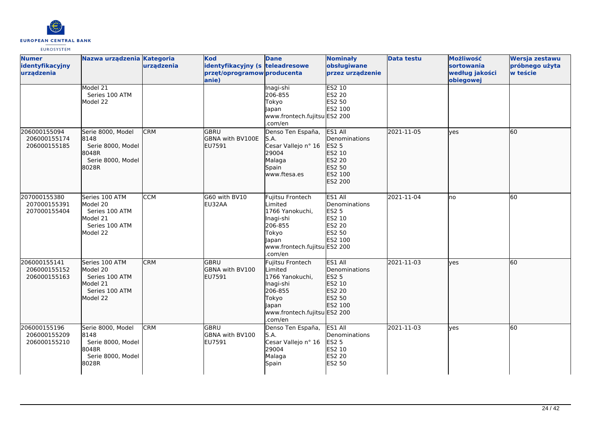

| <b>Numer</b><br>identyfikacyjny<br>urządzenia | Nazwa urządzenia Kategoria                                                             | urządzenia | <b>Kod</b><br>identyfikacyjny (s teleadresowe<br>przęt/oprogramow producenta<br>anie) | <b>Dane</b>                                                                                                                         | <b>Nominały</b><br>obsługiwane<br>przez urządzenie                                                  | <b>Data testu</b> | Możliwość<br>sortowania<br>według jakości<br>obiegowej | Wersja zestawu<br>próbnego użyta<br>w teście |
|-----------------------------------------------|----------------------------------------------------------------------------------------|------------|---------------------------------------------------------------------------------------|-------------------------------------------------------------------------------------------------------------------------------------|-----------------------------------------------------------------------------------------------------|-------------------|--------------------------------------------------------|----------------------------------------------|
|                                               | Model 21<br>Series 100 ATM<br>Model 22                                                 |            |                                                                                       | Inagi-shi<br>206-855<br>Tokyo<br>Japan<br>www.frontech.fujitsu ES2 200<br>.com/en                                                   | ES2 10<br>ES2 20<br>ES2 50<br>ES2 100                                                               |                   |                                                        |                                              |
| 206000155094<br>206000155174<br>206000155185  | Serie 8000, Model<br>8148<br>Serie 8000, Model<br>8048R<br>Serie 8000, Model<br>8028R  | <b>CRM</b> | lgbru<br>GBNA with BV100E<br>EU7591                                                   | Denso Ten España,<br>S.A.<br>Cesar Vallejo nº 16<br>29004<br>Malaga<br>Spain<br>www.ftesa.es                                        | ES1 All<br><b>Denominations</b><br><b>ES2 5</b><br>ES2 10<br>ES2 20<br>ES2 50<br>ES2 100<br>ES2 200 | 2021-11-05        | ves                                                    | 60                                           |
| 207000155380<br>207000155391<br>207000155404  | Series 100 ATM<br>Model 20<br>Series 100 ATM<br>Model 21<br>Series 100 ATM<br>Model 22 | <b>CCM</b> | G60 with BV10<br>EU32AA                                                               | Fujitsu Frontech<br>Limited<br>1766 Yanokuchi,<br>Inagi-shi<br>206-855<br>Tokyo<br>Japan<br>www.frontech.fujitsu ES2 200<br>.com/en | ES1 All<br>Denominations<br><b>ES2 5</b><br><b>ES2 10</b><br>ES2 20<br><b>ES2 50</b><br>ES2 100     | 2021-11-04        | lno                                                    | 60                                           |
| 206000155141<br>206000155152<br>206000155163  | Series 100 ATM<br>Model 20<br>Series 100 ATM<br>Model 21<br>Series 100 ATM<br>Model 22 | <b>CRM</b> | GBRU<br>GBNA with BV100<br>EU7591                                                     | Fujitsu Frontech<br>Limited<br>1766 Yanokuchi,<br>Inagi-shi<br>206-855<br>Tokyo<br>Japan<br>www.frontech.fujitsu ES2 200<br>.com/en | ES1 All<br><b>IDenominations</b><br><b>ES2 5</b><br>ES2 10<br>ES2 20<br>ES2 50<br>ES2 100           | 2021-11-03        | lves                                                   | 60                                           |
| 206000155196<br>206000155209<br>206000155210  | Serie 8000, Model<br>8148<br>Serie 8000, Model<br>8048R<br>Serie 8000, Model<br>8028R  | <b>CRM</b> | GBRU<br>GBNA with BV100<br>EU7591                                                     | Denso Ten España,<br>S.A.<br>Cesar Vallejo nº 16<br>29004<br>Malaga<br>Spain                                                        | ES1 All<br>Denominations<br><b>ES2 5</b><br>ES2 10<br>ES2 20<br>ES2 50                              | 2021-11-03        | ves                                                    | 60                                           |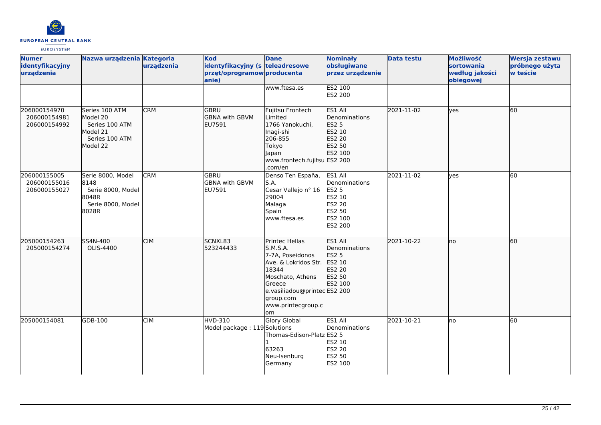

| <b>Numer</b><br>identyfikacyjny<br>urządzenia | Nazwa urządzenia Kategoria                                                             | urządzenia | <b>Kod</b><br>identyfikacyjny (s teleadresowe<br>przęt/oprogramow producenta<br>anie) | <b>Dane</b>                                                                                                                                                                           | <b>Nominały</b><br>obsługiwane<br>przez urządzenie                                                         | <b>Data testu</b> | Możliwość<br>sortowania<br>według jakości<br>obiegowej | Wersja zestawu<br>próbnego użyta<br>w teście |
|-----------------------------------------------|----------------------------------------------------------------------------------------|------------|---------------------------------------------------------------------------------------|---------------------------------------------------------------------------------------------------------------------------------------------------------------------------------------|------------------------------------------------------------------------------------------------------------|-------------------|--------------------------------------------------------|----------------------------------------------|
|                                               |                                                                                        |            |                                                                                       | www.ftesa.es                                                                                                                                                                          | ES2 100<br>ES2 200                                                                                         |                   |                                                        |                                              |
| 206000154970<br>206000154981<br>206000154992  | Series 100 ATM<br>Model 20<br>Series 100 ATM<br>Model 21<br>Series 100 ATM<br>Model 22 | <b>CRM</b> | GBRU<br><b>GBNA with GBVM</b><br><b>EU7591</b>                                        | Fujitsu Frontech<br>Limited<br>1766 Yanokuchi,<br>Inagi-shi<br>206-855<br>Tokyo<br>Japan<br>www.frontech.fujitsu ES2 200<br>.com/en                                                   | ES1 All<br>Denominations<br>ES2 5<br>ES2 10<br>ES2 20<br>ES2 50<br>ES2 100                                 | 2021-11-02        | lves                                                   | 60                                           |
| 206000155005<br>206000155016<br>206000155027  | Serie 8000, Model<br>8148<br>Serie 8000, Model<br>8048R<br>Serie 8000, Model<br>8028R  | <b>CRM</b> | <b>GBRU</b><br><b>GBNA with GBVM</b><br>EU7591                                        | Denso Ten España,<br>S.A.<br>Cesar Vallejo nº 16<br>29004<br>Malaga<br>Spain<br>www.ftesa.es                                                                                          | ES1 All<br>Denominations<br><b>ES2 5</b><br>ES2 10<br><b>ES2 20</b><br>ES2 50<br>ES2 100<br><b>ES2 200</b> | 2021-11-02        | yes                                                    | 60                                           |
| 205000154263<br>205000154274                  | SS4N-400<br>OLIS-4400                                                                  | <b>CIM</b> | SCNXL83<br>523244433                                                                  | Printec Hellas<br>S.M.S.A.<br>7-7A, Poseidonos<br>Ave. & Lokridos Str.<br>18344<br>Moschato, Athens<br>Greece<br>e.vasiliadou@printecES2 200<br>group.com<br>www.printecgroup.c<br>om | ES1 All<br>Denominations<br><b>ES2 5</b><br>ES2 10<br>ES2 20<br>ES2 50<br>ES2 100                          | 2021-10-22        | Ino                                                    | 60                                           |
| 205000154081                                  | GDB-100                                                                                | <b>CIM</b> | HVD-310<br>Model package: 119 Solutions                                               | Glory Global<br>Thomas-Edison-Platz ES2 5<br>63263<br>Neu-Isenburg<br>Germany                                                                                                         | ES1 All<br>Denominations<br>ES2 10<br><b>ES2 20</b><br>ES2 50<br>ES2 100                                   | 2021-10-21        | lno                                                    | 60                                           |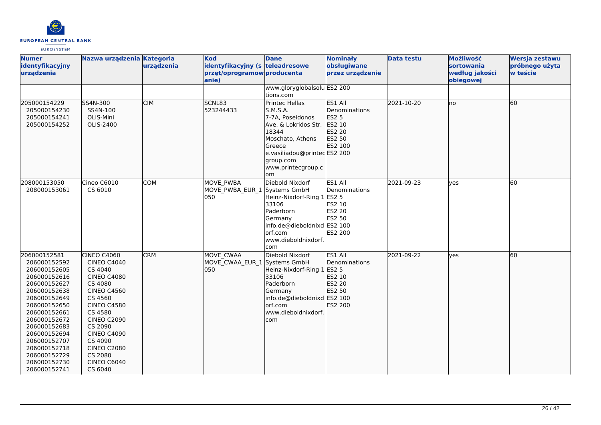

| <b>Numer</b><br>identyfikacyjny<br>urządzenia                                                                                                                                                                                                                                | Nazwa urządzenia Kategoria                                                                                                                                                                                                                                                          | urządzenia | <b>Kod</b><br>identyfikacyjny (s teleadresowe<br>przęt/oprogramow producenta<br>anie) | <b>Dane</b>                                                                                                                                                                                         | <b>Nominały</b><br>obsługiwane<br>przez urządzenie                                | <b>Data testu</b> | Możliwość<br>sortowania<br>według jakości<br>obiegowej | Wersja zestawu<br>próbnego użyta<br>w teście |
|------------------------------------------------------------------------------------------------------------------------------------------------------------------------------------------------------------------------------------------------------------------------------|-------------------------------------------------------------------------------------------------------------------------------------------------------------------------------------------------------------------------------------------------------------------------------------|------------|---------------------------------------------------------------------------------------|-----------------------------------------------------------------------------------------------------------------------------------------------------------------------------------------------------|-----------------------------------------------------------------------------------|-------------------|--------------------------------------------------------|----------------------------------------------|
|                                                                                                                                                                                                                                                                              |                                                                                                                                                                                                                                                                                     |            |                                                                                       | www.gloryglobalsolu ES2 200<br>tions.com                                                                                                                                                            |                                                                                   |                   |                                                        |                                              |
| 205000154229<br>205000154230<br>205000154241<br>205000154252                                                                                                                                                                                                                 | SS4N-300<br>SS4N-100<br>OLIS-Mini<br>OLIS-2400                                                                                                                                                                                                                                      | <b>CIM</b> | SCNL83<br>523244433                                                                   | <b>Printec Hellas</b><br><b>S.M.S.A.</b><br>7-7A, Poseidonos<br>Ave. & Lokridos Str.<br>18344<br>Moschato, Athens<br>Greece<br>e.vasiliadou@printecES2 200<br>group.com<br>www.printecgroup.c<br>om | ES1 All<br>Denominations<br><b>ES2 5</b><br>ES2 10<br>ES2 20<br>ES2 50<br>ES2 100 | 2021-10-20        | lno                                                    | 60                                           |
| 208000153050<br>208000153061                                                                                                                                                                                                                                                 | Cineo C6010<br>CS 6010                                                                                                                                                                                                                                                              | COM        | MOVE PWBA<br>MOVE PWBA EUR 1<br>050                                                   | Diebold Nixdorf<br>Systems GmbH<br>Heinz-Nixdorf-Ring 1 ES2 5<br>33106<br>Paderborn<br>Germany<br>info.de@dieboldnixd ES2 100<br>lorf.com<br>www.dieboldnixdorf.<br>com                             | ES1 All<br>Denominations<br>ES2 10<br>ES2 20<br>ES2 50<br><b>ES2 200</b>          | 2021-09-23        | <b>ves</b>                                             | 60                                           |
| 206000152581<br>206000152592<br>206000152605<br>206000152616<br>206000152627<br>206000152638<br>206000152649<br>206000152650<br>206000152661<br>206000152672<br>206000152683<br>206000152694<br>206000152707<br>206000152718<br>206000152729<br>206000152730<br>206000152741 | CINEO C4060<br><b>CINEO C4040</b><br>CS 4040<br><b>CINEO C4080</b><br>CS 4080<br><b>CINEO C4560</b><br>CS 4560<br><b>CINEO C4580</b><br>CS 4580<br><b>CINEO C2090</b><br>CS 2090<br><b>CINEO C4090</b><br>CS 4090<br><b>CINEO C2080</b><br>CS 2080<br><b>CINEO C6040</b><br>CS 6040 | <b>CRM</b> | <b>MOVE CWAA</b><br>MOVE CWAA EUR 1 Systems GmbH<br>lo50                              | Diebold Nixdorf<br>Heinz-Nixdorf-Ring 1 ES2 5<br>33106<br>Paderborn<br>Germany<br>info.de@dieboldnixd ES2 100<br>orf.com<br>www.dieboldnixdorf.<br>com                                              | ES1 All<br><b>IDenominations</b><br>ES2 10<br>ES2 20<br>ES2 50<br>ES2 200         | 2021-09-22        | <b>l</b> ves                                           | 60                                           |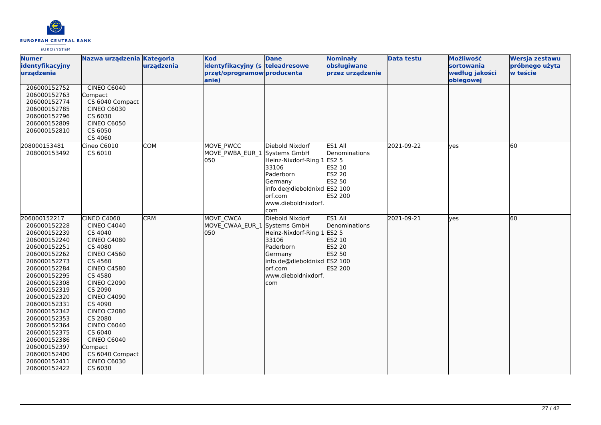

| <b>Numer</b><br>identyfikacyjny<br>urządzenia                                                                                                                                                                                                                                                                                                                | Nazwa urządzenia Kategoria                                                                                                                                                                                                                                                                                                                                               | urządzenia | <b>Kod</b><br>identyfikacyjny (s teleadresowe<br>przęt/oprogramow producenta<br>anie) | <b>Dane</b>                                                                                                                                             | <b>Nominały</b><br>obsługiwane<br>przez urządzenie                              | <b>Data testu</b> | Możliwość<br><b>sortowania</b><br>według jakości<br>obiegowej | Wersja zestawu<br>próbnego użyta<br>w teście |
|--------------------------------------------------------------------------------------------------------------------------------------------------------------------------------------------------------------------------------------------------------------------------------------------------------------------------------------------------------------|--------------------------------------------------------------------------------------------------------------------------------------------------------------------------------------------------------------------------------------------------------------------------------------------------------------------------------------------------------------------------|------------|---------------------------------------------------------------------------------------|---------------------------------------------------------------------------------------------------------------------------------------------------------|---------------------------------------------------------------------------------|-------------------|---------------------------------------------------------------|----------------------------------------------|
| 206000152752<br>206000152763<br>206000152774<br>206000152785<br>206000152796<br>206000152809<br>206000152810                                                                                                                                                                                                                                                 | CINEO C6040<br>Compact<br>CS 6040 Compact<br><b>CINEO C6030</b><br>CS 6030<br><b>CINEO C6050</b><br>CS 6050<br>CS 4060                                                                                                                                                                                                                                                   |            |                                                                                       |                                                                                                                                                         |                                                                                 |                   |                                                               |                                              |
| 208000153481<br>208000153492                                                                                                                                                                                                                                                                                                                                 | Cineo C6010<br>CS 6010                                                                                                                                                                                                                                                                                                                                                   | <b>COM</b> | MOVE PWCC<br>MOVE PWBA EUR 1 Systems GmbH<br>050                                      | Diebold Nixdorf<br>Heinz-Nixdorf-Ring 1 ES2 5<br>33106<br>Paderborn<br>Germany<br>info.de@dieboldnixd ES2 100<br>lorf.com<br>www.dieboldnixdorf.<br>com | ES1 All<br>Denominations<br>ES2 10<br><b>ES2 20</b><br>ES2 50<br><b>ES2 200</b> | 2021-09-22        | <b>ves</b>                                                    | 60                                           |
| 206000152217<br>206000152228<br>206000152239<br>206000152240<br>206000152251<br>206000152262<br>206000152273<br>206000152284<br>206000152295<br>206000152308<br>206000152319<br>206000152320<br>206000152331<br>206000152342<br>206000152353<br>206000152364<br>206000152375<br>206000152386<br>206000152397<br>206000152400<br>206000152411<br>206000152422 | CINEO C4060<br><b>CINEO C4040</b><br>CS 4040<br><b>CINEO C4080</b><br>CS 4080<br><b>CINEO C4560</b><br>CS 4560<br><b>CINEO C4580</b><br>CS 4580<br><b>CINEO C2090</b><br>CS 2090<br><b>CINEO C4090</b><br>CS 4090<br><b>CINEO C2080</b><br>CS 2080<br><b>CINEO C6040</b><br>CS 6040<br><b>CINEO C6040</b><br>Compact<br>CS 6040 Compact<br><b>CINEO C6030</b><br>CS 6030 | <b>CRM</b> | MOVE CWCA<br>MOVE CWAA EUR 1 Systems GmbH<br>050                                      | Diebold Nixdorf<br>Heinz-Nixdorf-Ring 1 ES2 5<br>33106<br>Paderborn<br>Germany<br>info.de@dieboldnixd ES2 100<br>orf.com<br>www.dieboldnixdorf.<br>com  | ES1 All<br>Denominations<br>ES2 10<br>ES2 20<br>ES2 50<br>ES2 200               | 2021-09-21        | <b>lves</b>                                                   | 60                                           |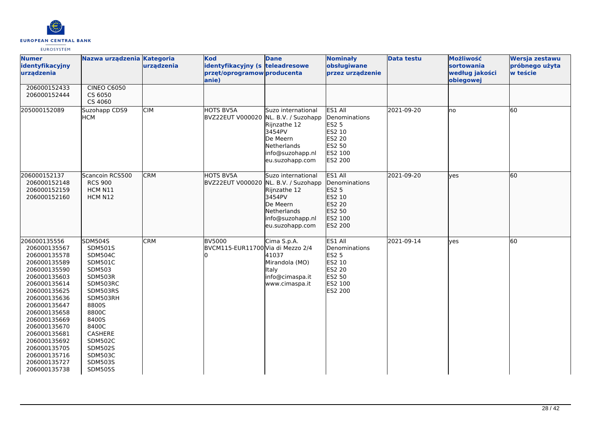

| <b>Numer</b><br>identyfikacyjny<br>urządzenia                                                                                                                                                                                                                                                                | Nazwa urządzenia Kategoria                                                                                                                                                                                                                                             | urządzenia | <b>Kod</b><br>identyfikacyjny (s teleadresowe<br>przęt/oprogramow producenta<br>anie) | <b>Dane</b>                                                                                                                           | <b>Nominały</b><br>obsługiwane<br>przez urządzenie                                                          | <b>Data testu</b> | Możliwość<br>sortowania<br>według jakości<br>obiegowej | Wersja zestawu<br>próbnego użyta<br>w teście |
|--------------------------------------------------------------------------------------------------------------------------------------------------------------------------------------------------------------------------------------------------------------------------------------------------------------|------------------------------------------------------------------------------------------------------------------------------------------------------------------------------------------------------------------------------------------------------------------------|------------|---------------------------------------------------------------------------------------|---------------------------------------------------------------------------------------------------------------------------------------|-------------------------------------------------------------------------------------------------------------|-------------------|--------------------------------------------------------|----------------------------------------------|
| 206000152433<br>206000152444                                                                                                                                                                                                                                                                                 | <b>CINEO C6050</b><br>CS 6050<br>CS 4060                                                                                                                                                                                                                               |            |                                                                                       |                                                                                                                                       |                                                                                                             |                   |                                                        |                                              |
| 205000152089                                                                                                                                                                                                                                                                                                 | Suzohapp CDS9<br>Інсм                                                                                                                                                                                                                                                  | <b>CIM</b> | <b>HOTS BV5A</b><br>BVZ22EUT V000020 NL. B.V. / Suzohapp                              | Suzo international<br>Rijnzathe 12<br>3454PV<br>De Meern<br>Netherlands<br>info@suzohapp.nl<br>eu.suzohapp.com                        | <b>ES1 All</b><br>Denominations<br>ES2 5<br>ES2 10<br><b>ES2 20</b><br>ES2 50<br>ES2 100<br><b>ES2 200</b>  | 2021-09-20        | lno                                                    | 60                                           |
| 206000152137<br>206000152148<br>206000152159<br>206000152160                                                                                                                                                                                                                                                 | Scancoin RCS500<br><b>RCS 900</b><br>HCM N11<br>HCM N12                                                                                                                                                                                                                | <b>CRM</b> | <b>HOTS BV5A</b><br><b>BVZ22EUT V000020</b>                                           | Suzo international<br>NL. B.V. / Suzohapp<br>Rijnzathe 12<br>3454PV<br>De Meern<br>Netherlands<br>info@suzohapp.nl<br>eu.suzohapp.com | ES1 All<br>Denominations<br>ES2 5<br>ES2 10<br>ES2 20<br>ES2 50<br>ES2 100<br>ES2 200                       | 2021-09-20        | lyes                                                   | 60                                           |
| 206000135556<br>206000135567<br>206000135578<br>206000135589<br>206000135590<br>206000135603<br>206000135614<br>206000135625<br>206000135636<br>206000135647<br>206000135658<br>206000135669<br>206000135670<br>206000135681<br>206000135692<br>206000135705<br>206000135716<br>206000135727<br>206000135738 | <b>SDM504S</b><br><b>SDM501S</b><br><b>SDM504C</b><br><b>SDM501C</b><br>SDM503<br>SDM503R<br>SDM503RC<br>SDM503RS<br>SDM503RH<br>8800S<br>8800C<br>8400S<br>8400C<br>CASHERE<br><b>SDM502C</b><br><b>SDM502S</b><br><b>SDM503C</b><br><b>SDM503S</b><br><b>SDM505S</b> | <b>CRM</b> | <b>BV5000</b><br>BVCM115-EUR11700 Via di Mezzo 2/4                                    | Cima S.p.A.<br>41037<br>Mirandola (MO)<br>Italy<br>info@cimaspa.it<br>www.cimaspa.it                                                  | ES1 All<br>Denominations<br><b>ES2 5</b><br>ES2 10<br><b>ES2 20</b><br>ES2 50<br><b>IES2 100</b><br>ES2 200 | 2021-09-14        | yes                                                    | 60                                           |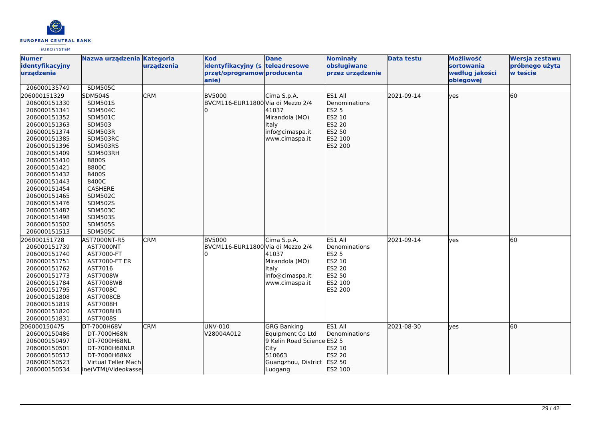

| <b>Numer</b>    | Nazwa urządzenia Kategoria |            | <b>Kod</b>                        | <b>Dane</b>                | <b>Nominały</b>  | <b>Data testu</b> | Możliwość         | Wersja zestawu |
|-----------------|----------------------------|------------|-----------------------------------|----------------------------|------------------|-------------------|-------------------|----------------|
| identyfikacyjny |                            | urządzenia | identyfikacyjny (s teleadresowe   |                            | obsługiwane      |                   | <b>sortowania</b> | próbnego użyta |
| urządzenia      |                            |            | przęt/oprogramow producenta       |                            | przez urządzenie |                   | według jakości    | w teście       |
|                 |                            |            | anie)                             |                            |                  |                   | obiegowej         |                |
| 206000135749    | <b>SDM505C</b>             |            |                                   |                            |                  |                   |                   |                |
| 206000151329    | SDM504S                    | <b>CRM</b> | <b>BV5000</b>                     | Cima S.p.A.                | ES1 All          | 2021-09-14        | lyes              | 60             |
| 206000151330    | <b>SDM501S</b>             |            | BVCM116-EUR11800 Via di Mezzo 2/4 |                            | Denominations    |                   |                   |                |
| 206000151341    | <b>SDM504C</b>             |            |                                   | 41037                      | ES2 5            |                   |                   |                |
| 206000151352    | <b>SDM501C</b>             |            |                                   | Mirandola (MO)             | ES2 10           |                   |                   |                |
| 206000151363    | SDM503                     |            |                                   | <b>Italy</b>               | ES2 20           |                   |                   |                |
| 206000151374    | SDM503R                    |            |                                   | info@cimaspa.it            | ES2 50           |                   |                   |                |
| 206000151385    | SDM503RC                   |            |                                   | www.cimaspa.it             | ES2 100          |                   |                   |                |
| 206000151396    | SDM503RS                   |            |                                   |                            | ES2 200          |                   |                   |                |
| 206000151409    | SDM503RH                   |            |                                   |                            |                  |                   |                   |                |
| 206000151410    | 8800S                      |            |                                   |                            |                  |                   |                   |                |
| 206000151421    | 8800C                      |            |                                   |                            |                  |                   |                   |                |
| 206000151432    | 8400S                      |            |                                   |                            |                  |                   |                   |                |
| 206000151443    | 8400C                      |            |                                   |                            |                  |                   |                   |                |
| 206000151454    | CASHERE                    |            |                                   |                            |                  |                   |                   |                |
| 206000151465    | <b>SDM502C</b>             |            |                                   |                            |                  |                   |                   |                |
| 206000151476    | <b>SDM502S</b>             |            |                                   |                            |                  |                   |                   |                |
| 206000151487    | <b>SDM503C</b>             |            |                                   |                            |                  |                   |                   |                |
| 206000151498    | <b>SDM503S</b>             |            |                                   |                            |                  |                   |                   |                |
| 206000151502    | <b>SDM505S</b>             |            |                                   |                            |                  |                   |                   |                |
| 206000151513    | <b>SDM505C</b>             |            |                                   |                            |                  |                   |                   |                |
| 206000151728    | AST7000NT-R5               | <b>CRM</b> | <b>BV5000</b>                     | Cima S.p.A.                | ES1 All          | 2021-09-14        | yes               | 60             |
| 206000151739    | AST7000NT                  |            | BVCM116-EUR11800 Via di Mezzo 2/4 |                            | Denominations    |                   |                   |                |
| 206000151740    | AST7000-FT                 |            |                                   | 41037                      | <b>ES2 5</b>     |                   |                   |                |
| 206000151751    | <b>AST7000-FT ER</b>       |            |                                   | Mirandola (MO)             | ES2 10           |                   |                   |                |
| 206000151762    | AST7016                    |            |                                   | <b>I</b> taly              | ES2 20           |                   |                   |                |
| 206000151773    | AST7008W                   |            |                                   | info@cimaspa.it            | ES2 50           |                   |                   |                |
| 206000151784    | <b>AST7008WB</b>           |            |                                   | www.cimaspa.it             | ES2 100          |                   |                   |                |
| 206000151795    | AST7008C                   |            |                                   |                            | ES2 200          |                   |                   |                |
| 206000151808    | <b>AST7008CB</b>           |            |                                   |                            |                  |                   |                   |                |
| 206000151819    | <b>AST7008H</b>            |            |                                   |                            |                  |                   |                   |                |
| 206000151820    | AST7008HB                  |            |                                   |                            |                  |                   |                   |                |
| 206000151831    | AST7008S                   |            |                                   |                            |                  |                   |                   |                |
| 206000150475    | DT-7000H68V                | <b>CRM</b> | UNV-010                           | <b>GRG Banking</b>         | ES1 All          | 2021-08-30        | lves              | 60             |
| 206000150486    | DT-7000H68N                |            | V28004A012                        | Equipment Co Ltd           | Denominations    |                   |                   |                |
| 206000150497    | DT-7000H68NL               |            |                                   | 9 Kelin Road Science ES2 5 |                  |                   |                   |                |
| 206000150501    | DT-7000H68NLR              |            |                                   | <b>City</b>                | ES2 10           |                   |                   |                |
| 206000150512    | DT-7000H68NX               |            |                                   | 510663                     | ES2 20           |                   |                   |                |
| 206000150523    | Virtual Teller Mach        |            |                                   | Guangzhou, District ES2 50 |                  |                   |                   |                |
| 206000150534    | ine(VTM)/Videokasse        |            |                                   | Luogang                    | ES2 100          |                   |                   |                |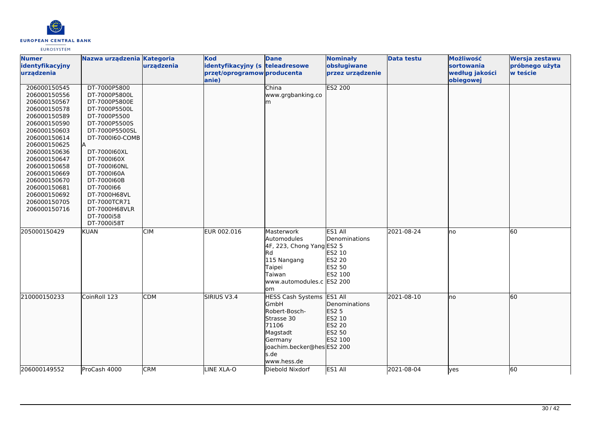

| <b>Numer</b><br>identyfikacyjny                                                                                                                                                                                                                                                              | Nazwa urządzenia Kategoria                                                                                                                                                                                                                                                                                     | urządzenia | <b>Kod</b><br>identyfikacyjny (s teleadresowe | <b>Dane</b>                                                                                                                                                 | <b>Nominały</b><br>obsługiwane                                                           | <b>Data testu</b> | Możliwość<br><b>sortowania</b> | Wersja zestawu<br>próbnego użyta |
|----------------------------------------------------------------------------------------------------------------------------------------------------------------------------------------------------------------------------------------------------------------------------------------------|----------------------------------------------------------------------------------------------------------------------------------------------------------------------------------------------------------------------------------------------------------------------------------------------------------------|------------|-----------------------------------------------|-------------------------------------------------------------------------------------------------------------------------------------------------------------|------------------------------------------------------------------------------------------|-------------------|--------------------------------|----------------------------------|
| urządzenia                                                                                                                                                                                                                                                                                   |                                                                                                                                                                                                                                                                                                                |            | przęt/oprogramow producenta<br>anie)          |                                                                                                                                                             | przez urządzenie                                                                         |                   | według jakości<br>obiegowej    | w teście                         |
| 206000150545<br>206000150556<br>206000150567<br>206000150578<br>206000150589<br>206000150590<br>206000150603<br>206000150614<br>206000150625<br>206000150636<br>206000150647<br>206000150658<br>206000150669<br>206000150670<br>206000150681<br>206000150692<br>206000150705<br>206000150716 | DT-7000P5800<br>DT-7000P5800L<br>DT-7000P5800E<br>DT-7000P5500L<br>DT-7000P5500<br>DT-7000P5500S<br>DT-7000P5500SL<br>DT-7000160-COMB<br>DT-7000160XL<br>DT-7000160X<br>DT-7000160NL<br>DT-7000160A<br>DT-7000160B<br>DT-7000166<br>DT-7000H68VL<br>DT-7000TCR71<br>DT-7000H68VLR<br>DT-7000i58<br>DT-7000i58T |            |                                               | China<br>www.grgbanking.co<br>m                                                                                                                             | <b>ES2 200</b>                                                                           |                   |                                |                                  |
| 205000150429                                                                                                                                                                                                                                                                                 | <b>KUAN</b>                                                                                                                                                                                                                                                                                                    | <b>CIM</b> | EUR 002.016                                   | Masterwork<br>Automodules<br>4F, 223, Chong Yang ES2 5<br>lRd<br>115 Nangang<br>Taipei<br>Taiwan<br>www.automodules.c ES2 200<br>lom                        | ES1 All<br>Denominations<br>ES2 10<br>ES2 20<br>ES2 50<br>ES2 100                        | 2021-08-24        | lno                            | 60                               |
| 210000150233                                                                                                                                                                                                                                                                                 | CoinRoll 123                                                                                                                                                                                                                                                                                                   | <b>CDM</b> | <b>SIRIUS V3.4</b>                            | <b>HESS Cash Systems</b><br><b>GmbH</b><br>Robert-Bosch-<br>Strasse 30<br>71106<br>Magstadt<br>Germany<br>joachim.becker@hes ES2 200<br>s.de<br>www.hess.de | ES1 All<br><b>Denominations</b><br><b>ES2 5</b><br>ES2 10<br>ES2 20<br>ES2 50<br>ES2 100 | 2021-08-10        | no                             | 60                               |
| 206000149552                                                                                                                                                                                                                                                                                 | ProCash 4000                                                                                                                                                                                                                                                                                                   | <b>CRM</b> | LINE XLA-O                                    | Diebold Nixdorf                                                                                                                                             | ES1 All                                                                                  | 2021-08-04        | lyes                           | 60                               |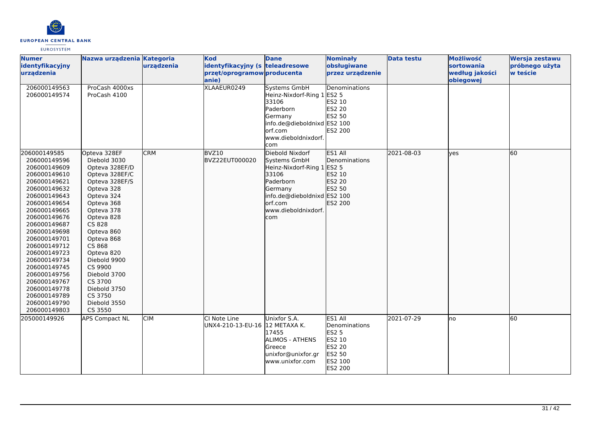

| <b>Numer</b><br>identyfikacyjny                                                                                                                                                                                                                                                                                                                                              | Nazwa urządzenia Kategoria                                                                                                                                                                                                                                                                                                         | urządzenia | <b>Kod</b><br>identyfikacyjny (s teleadresowe           | <b>Dane</b>                                                                                                                                                            | <b>Nominały</b><br>obsługiwane                                                               | <b>Data testu</b> | Możliwość<br>sortowania     | Wersja zestawu<br>próbnego użyta |
|------------------------------------------------------------------------------------------------------------------------------------------------------------------------------------------------------------------------------------------------------------------------------------------------------------------------------------------------------------------------------|------------------------------------------------------------------------------------------------------------------------------------------------------------------------------------------------------------------------------------------------------------------------------------------------------------------------------------|------------|---------------------------------------------------------|------------------------------------------------------------------------------------------------------------------------------------------------------------------------|----------------------------------------------------------------------------------------------|-------------------|-----------------------------|----------------------------------|
| urządzenia                                                                                                                                                                                                                                                                                                                                                                   |                                                                                                                                                                                                                                                                                                                                    |            | przęt/oprogramow producenta<br>anie)                    |                                                                                                                                                                        | przez urządzenie                                                                             |                   | według jakości<br>obiegowej | w teście                         |
| 206000149563<br>206000149574                                                                                                                                                                                                                                                                                                                                                 | ProCash 4000xs<br>ProCash 4100                                                                                                                                                                                                                                                                                                     |            | XLAAEUR0249                                             | <b>Systems GmbH</b><br>Heinz-Nixdorf-Ring 1<br>33106<br><b>Paderborn</b><br>Germany<br>info.de@dieboldnixd<br>lorf.com<br>www.dieboldnixdorf.<br>com                   | Denominations<br><b>ES2 5</b><br>ES2 10<br>ES2 20<br>ES2 50<br>ES2 100<br>ES2 200            |                   |                             |                                  |
| 206000149585<br>206000149596<br>206000149609<br>206000149610<br>206000149621<br>206000149632<br>206000149643<br>206000149654<br>206000149665<br>206000149676<br>206000149687<br>206000149698<br>206000149701<br>206000149712<br>206000149723<br>206000149734<br>206000149745<br>206000149756<br>206000149767<br>206000149778<br>206000149789<br>206000149790<br>206000149803 | Opteva 328EF<br>Diebold 3030<br>Opteva 328EF/D<br>Opteva 328EF/C<br>Opteva 328EF/S<br>Opteva 328<br>Opteva 324<br>Opteva 368<br>Opteva 378<br>Opteva 828<br>CS 828<br>Opteva 860<br>Opteva 868<br>CS 868<br>Opteva 820<br>Diebold 9900<br>CS 9900<br>Diebold 3700<br>CS 3700<br>Diebold 3750<br>CS 3750<br>Diebold 3550<br>CS 3550 | <b>CRM</b> | BVZ10<br>BVZ22EUT000020                                 | Diebold Nixdorf<br>Systems GmbH<br>Heinz-Nixdorf-Ring 1 ES2 5<br>33106<br>Paderborn<br>Germany<br>info.de@dieboldnixd ES2 100<br>orf.com<br>www.dieboldnixdorf.<br>com | ES1 All<br>Denominations<br>ES2 10<br>ES2 20<br>ES2 50<br>ES2 200                            | 2021-08-03        | lves                        | 60                               |
| 205000149926                                                                                                                                                                                                                                                                                                                                                                 | <b>APS Compact NL</b>                                                                                                                                                                                                                                                                                                              | CIM        | <b>l</b> CI Note Line<br>UNX4-210-13-EU-16 12 METAXA K. | Unixfor S.A.<br>17455<br><b>ALIMOS - ATHENS</b><br><b>G</b> reece<br>unixfor@unixfor.gr<br>www.unixfor.com                                                             | ES1 All<br>Denominations<br><b>ES2 5</b><br>ES2 10<br>ES2 20<br>ES2 50<br>ES2 100<br>ES2 200 | 2021-07-29        | lno                         | 60                               |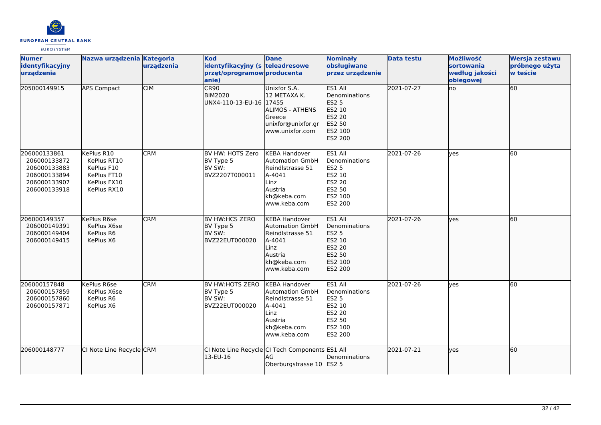

| <b>Numer</b><br>identyfikacyjny<br>urządzenia                                                | Nazwa urządzenia Kategoria                                                           | urządzenia | <b>Kod</b><br>identyfikacyjny (s teleadresowe<br>przęt/oprogramow producenta<br>lanie) | <b>Dane</b>                                                                                                                    | <b>Nominały</b><br>obsługiwane<br>przez urządzenie                                                                       | <b>Data testu</b> | Możliwość<br>sortowania<br>według jakości<br>obiegowej | Wersja zestawu<br>próbnego użyta<br>w teście |
|----------------------------------------------------------------------------------------------|--------------------------------------------------------------------------------------|------------|----------------------------------------------------------------------------------------|--------------------------------------------------------------------------------------------------------------------------------|--------------------------------------------------------------------------------------------------------------------------|-------------------|--------------------------------------------------------|----------------------------------------------|
| 205000149915                                                                                 | <b>APS Compact</b>                                                                   | <b>CIM</b> | CR90<br><b>BIM2020</b><br>UNX4-110-13-EU-16 17455                                      | Unixfor S.A.<br>12 METAXA K.<br><b>ALIMOS - ATHENS</b><br>Greece<br>unixfor@unixfor.gr<br>www.unixfor.com                      | ES1 All<br>Denominations<br>ES2 5<br>ES2 10<br>ES2 20<br>ES2 50<br>ES2 100<br>ES2 200                                    | 2021-07-27        | lno                                                    | 60                                           |
| 206000133861<br>206000133872<br>206000133883<br>206000133894<br>206000133907<br>206000133918 | KePlus R10<br>KePlus RT10<br>KePlus F10<br>KePlus FT10<br>KePlus FX10<br>KePlus RX10 | <b>CRM</b> | BV HW: HOTS Zero<br>BV Type 5<br>BV SW:<br>BVZ2207T000011                              | <b>KEBA Handover</b><br>Automation GmbH<br>Reindlstrasse 51<br>A-4041<br>Linz<br>Austria<br>kh@keba.com<br>www.keba.com        | ES1 All<br>Denominations<br><b>ES2 5</b><br><b>ES2 10</b><br><b>ES2 20</b><br><b>ES2 50</b><br>ES2 100<br><b>ES2 200</b> | 2021-07-26        | ves                                                    | 60                                           |
| 206000149357<br>206000149391<br>206000149404<br>206000149415                                 | KePlus R6se<br>KePlus X6se<br>KePlus R6<br>KePlus X6                                 | <b>CRM</b> | BV HW:HCS ZERO<br>BV Type 5<br>BV SW:<br>BVZ22EUT000020                                | <b>KEBA Handover</b><br><b>Automation GmbH</b><br>Reindlstrasse 51<br>A-4041<br>Linz<br>Austria<br>kh@keba.com<br>www.keba.com | ES1 All<br><b>IDenominations</b><br><b>ES2 5</b><br>ES2 10<br>ES2 20<br>ES2 50<br>ES2 100<br>ES2 200                     | 2021-07-26        | lves                                                   | 60                                           |
| 206000157848<br>206000157859<br>206000157860<br>206000157871                                 | KePlus R6se<br>KePlus X6se<br>KePlus R6<br>KePlus X6                                 | <b>CRM</b> | BV HW:HOTS ZERO<br>BV Type 5<br>BV SW:<br>BVZ22EUT000020                               | <b>KEBA Handover</b><br><b>Automation GmbH</b><br>Reindlstrasse 51<br>A-4041<br>Linz<br>Austria<br>kh@keba.com<br>www.keba.com | ES1 All<br>Denominations<br><b>ES2 5</b><br>ES2 10<br><b>ES2 20</b><br><b>ES2 50</b><br>ES2 100<br><b>ES2 200</b>        | 2021-07-26        | <b>ves</b>                                             | 60                                           |
| 206000148777                                                                                 | CI Note Line Recycle CRM                                                             |            | 13-EU-16                                                                               | CI Note Line Recycle CI Tech Components ES1 All<br>AG<br>Oberburgstrasse 10 ES2 5                                              | Denominations                                                                                                            | 2021-07-21        | lyes                                                   | 60                                           |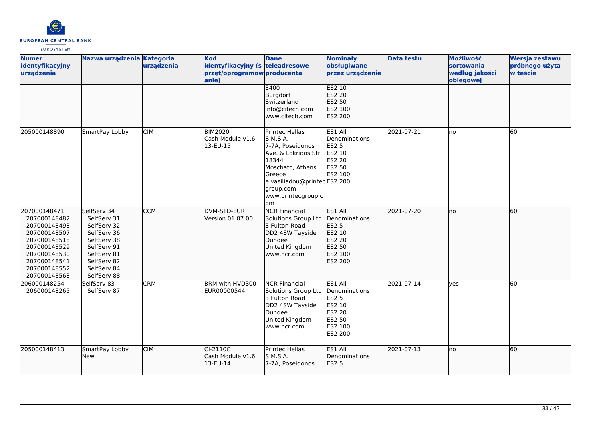

| <b>Numer</b><br>identyfikacyjny<br>urządzenia                                                                                                                | Nazwa urządzenia Kategoria                                                                                                                         | urządzenia | <b>Kod</b><br>identyfikacyjny (s teleadresowe<br>przęt/oprogramow producenta<br>anie) | <b>Dane</b>                                                                                                                                                                            | <b>Nominały</b><br>obsługiwane<br>przez urządzenie                                                         | <b>Data testu</b> | Możliwość<br>sortowania<br>według jakości<br>obiegowej | Wersja zestawu<br>próbnego użyta<br>w teście |
|--------------------------------------------------------------------------------------------------------------------------------------------------------------|----------------------------------------------------------------------------------------------------------------------------------------------------|------------|---------------------------------------------------------------------------------------|----------------------------------------------------------------------------------------------------------------------------------------------------------------------------------------|------------------------------------------------------------------------------------------------------------|-------------------|--------------------------------------------------------|----------------------------------------------|
|                                                                                                                                                              |                                                                                                                                                    |            |                                                                                       | 3400<br>Burgdorf<br>Switzerland<br>info@citech.com<br>www.citech.com                                                                                                                   | <b>ES2 10</b><br>ES2 20<br>ES2 50<br><b>IES2 100</b><br>ES2 200                                            |                   |                                                        |                                              |
| 205000148890                                                                                                                                                 | SmartPay Lobby                                                                                                                                     | <b>CIM</b> | <b>BIM2020</b><br>Cash Module v1.6<br>13-EU-15                                        | Printec Hellas<br>S.M.S.A.<br>7-7A, Poseidonos<br>Ave. & Lokridos Str.<br>18344<br>Moschato, Athens<br>Greece<br>e.vasiliadou@printecES2 200<br>group.com<br>www.printecgroup.c<br>lom | ES1 All<br>Denominations<br><b>ES2 5</b><br>ES2 10<br><b>ES2 20</b><br><b>ES2 50</b><br>ES2 100            | 2021-07-21        | lno                                                    | 60                                           |
| 207000148471<br>207000148482<br>207000148493<br>207000148507<br>207000148518<br>207000148529<br>207000148530<br>207000148541<br>207000148552<br>207000148563 | SelfServ 34<br>SelfServ 31<br>SelfServ 32<br>SelfServ 36<br>SelfServ 38<br>SelfServ 91<br>SelfServ 81<br>SelfServ 82<br>SelfServ 84<br>SelfServ 88 | <b>CCM</b> | DVM-STD-EUR<br>Version 01.07.00                                                       | <b>NCR Financial</b><br>Solutions Group Ltd<br>3 Fulton Road<br>DD2 4SW Tayside<br>Dundee<br>United Kingdom<br>www.ncr.com                                                             | ES1 All<br><b>IDenominations</b><br><b>ES2 5</b><br>ES2 10<br>ES2 20<br>ES2 50<br>ES2 100<br>ES2 200       | 2021-07-20        | <b>I</b> no                                            | 60                                           |
| 206000148254<br>206000148265                                                                                                                                 | SelfServ 83<br>SelfServ 87                                                                                                                         | <b>CRM</b> | BRM with HVD300<br>EUR00000544                                                        | <b>NCR Financial</b><br>Solutions Group Ltd<br>3 Fulton Road<br>DD2 4SW Tayside<br>Dundee<br>United Kingdom<br>www.ncr.com                                                             | ES1 All<br>Denominations<br><b>ES2 5</b><br>ES2 10<br><b>ES2 20</b><br><b>ES2 50</b><br>ES2 100<br>ES2 200 | 2021-07-14        | <b>ves</b>                                             | 60                                           |
| 205000148413                                                                                                                                                 | SmartPay Lobby<br>New                                                                                                                              | <b>CIM</b> | CI-2110C<br>Cash Module v1.6<br>13-EU-14                                              | Printec Hellas<br>S.M.S.A.<br>7-7A, Poseidonos                                                                                                                                         | ES1 All<br>Denominations<br><b>ES2 5</b>                                                                   | 2021-07-13        | lno                                                    | 60                                           |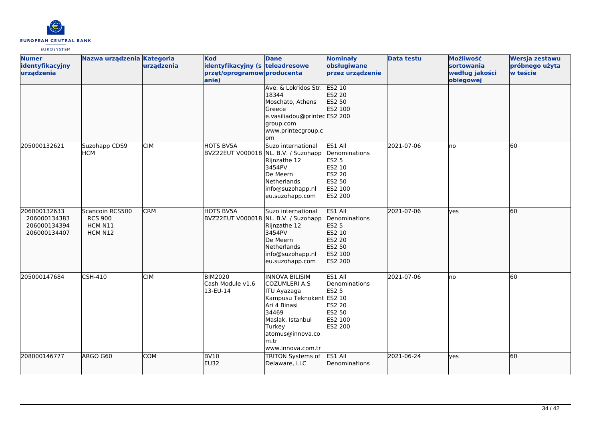

| <b>Numer</b><br>identyfikacyjny<br>urządzenia                | Nazwa urządzenia Kategoria                              | urządzenia | <b>Kod</b><br>identyfikacyjny (s teleadresowe<br>przęt/oprogramow producenta<br>anie) | <b>Dane</b><br>Ave. & Lokridos Str.                                                                                                                                                             | <b>Nominały</b><br>obsługiwane<br>przez urządzenie<br><b>ES2 10</b>                                        | <b>Data testu</b> | Możliwość<br><b>sortowania</b><br>według jakości<br>obiegowej | Wersja zestawu<br>próbnego użyta<br>w teście |
|--------------------------------------------------------------|---------------------------------------------------------|------------|---------------------------------------------------------------------------------------|-------------------------------------------------------------------------------------------------------------------------------------------------------------------------------------------------|------------------------------------------------------------------------------------------------------------|-------------------|---------------------------------------------------------------|----------------------------------------------|
|                                                              |                                                         |            |                                                                                       | 18344<br>Moschato, Athens<br>Greece<br>e.vasiliadou@printecES2 200<br>group.com<br>www.printecgroup.c<br>lom                                                                                    | ES2 20<br>ES2 50<br>ES2 100                                                                                |                   |                                                               |                                              |
| 205000132621                                                 | Suzohapp CDS9<br><b>HCM</b>                             | <b>CIM</b> | HOTS BV5A<br>BVZ22EUT V000018 NL. B.V. / Suzohapp                                     | Suzo international<br>Rijnzathe 12<br>3454PV<br>De Meern<br>Netherlands<br>info@suzohapp.nl<br>eu.suzohapp.com                                                                                  | ES1 All<br>Denominations<br><b>ES2 5</b><br>ES2 10<br><b>ES2 20</b><br><b>ES2 50</b><br>ES2 100<br>ES2 200 | 2021-07-06        | no                                                            | 60                                           |
| 206000132633<br>206000134383<br>206000134394<br>206000134407 | Scancoin RCS500<br><b>RCS 900</b><br>HCM N11<br>HCM N12 | <b>CRM</b> | HOTS BV5A<br>BVZ22EUT V000018 NL. B.V. / Suzohapp                                     | Suzo international<br>Rijnzathe 12<br>3454PV<br>De Meern<br>Netherlands<br>info@suzohapp.nl<br>eu.suzohapp.com                                                                                  | ES1 All<br>Denominations<br>ES2 5<br>ES2 10<br>ES2 20<br>ES2 50<br>ES2 100<br>ES2 200                      | 2021-07-06        | lyes                                                          | 60                                           |
| 205000147684                                                 | <b>CSH-410</b>                                          | <b>CIM</b> | <b>BIM2020</b><br>Cash Module v1.6<br>13-EU-14                                        | <b>INNOVA BILISIM</b><br>COZUMLERI A.S<br><b>TU Ayazaga</b><br>Kampusu Teknokent ES2 10<br>Ari 4 Binasi<br>34469<br>Maslak, Istanbul<br>Turkey<br>atomus@innova.co<br>m.tr<br>www.innova.com.tr | ES1 All<br><b>Denominations</b><br><b>ES2 5</b><br><b>ES2 20</b><br>ES2 50<br>ES2 100<br>ES2 200           | 2021-07-06        | lno                                                           | 60                                           |
| 208000146777                                                 | ARGO G60                                                | COM        | <b>BV10</b><br><b>EU32</b>                                                            | TRITON Systems of<br>Delaware, LLC                                                                                                                                                              | ES1 All<br>Denominations                                                                                   | 2021-06-24        | lyes                                                          | 60                                           |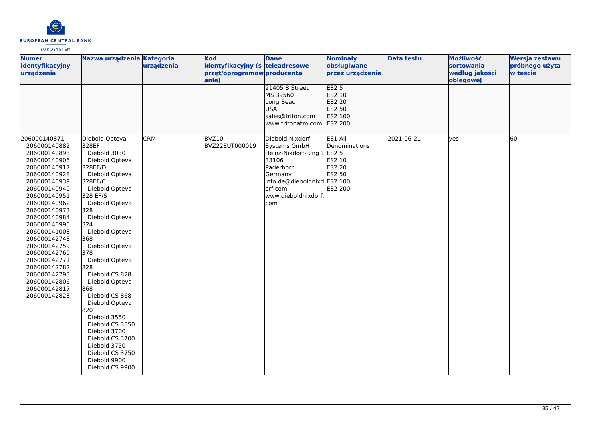

| <b>Numer</b><br>identyfikacyjny<br>urządzenia                                                                                                                                                                                                                                                                                                                                                                                                            | Nazwa urządzenia Kategoria                                                                                                                                                                                                                                                                                                                                                       | urządzenia | <b>Kod</b><br>identyfikacyjny (s teleadresowe<br>przęt/oprogramow producenta | <b>Dane</b>                                                                                                                                          | <b>Nominały</b><br>obsługiwane<br>przez urządzenie       | <b>Data testu</b> | Możliwość<br>sortowania<br>według jakości | Wersja zestawu<br>próbnego użyta<br>w teście |
|----------------------------------------------------------------------------------------------------------------------------------------------------------------------------------------------------------------------------------------------------------------------------------------------------------------------------------------------------------------------------------------------------------------------------------------------------------|----------------------------------------------------------------------------------------------------------------------------------------------------------------------------------------------------------------------------------------------------------------------------------------------------------------------------------------------------------------------------------|------------|------------------------------------------------------------------------------|------------------------------------------------------------------------------------------------------------------------------------------------------|----------------------------------------------------------|-------------------|-------------------------------------------|----------------------------------------------|
| 206000140871                                                                                                                                                                                                                                                                                                                                                                                                                                             | Diebold Opteva                                                                                                                                                                                                                                                                                                                                                                   | <b>CRM</b> | anie)<br>BVZ10                                                               | 21405 B Street<br>MS 39560<br>Long Beach<br><b>USA</b><br>sales@triton.com<br>www.tritonatm.com ES2 200<br>Diebold Nixdorf                           | ES25<br>ES2 10<br>ES2 20<br>ES2 50<br>ES2 100<br>ES1 All | 2021-06-21        | obiegowej<br>lyes                         | 60                                           |
| 206000140882<br>328EF<br>206000140893<br>206000140906<br>206000140917<br>328EF/D<br>206000140928<br>328EF/C<br>206000140939<br>206000140940<br>328 EF/S<br>206000140951<br>206000140962<br>206000140973<br>328<br>206000140984<br>324<br>206000140995<br>206000141008<br>368<br>206000142748<br>206000142759<br>378<br>206000142760<br>206000142771<br>828<br>206000142782<br>206000142793<br>206000142806<br>868<br>206000142817<br>206000142828<br>820 | Diebold 3030<br>Diebold Opteva<br>Diebold Opteva<br>Diebold Opteva<br>Diebold Opteva<br>Diebold Opteva<br>Diebold Opteva<br>Diebold Opteva<br>Diebold Opteva<br>Diebold CS 828<br>Diebold Opteva<br>Diebold CS 868<br>Diebold Opteva<br>Diebold 3550<br>Diebold CS 3550<br>Diebold 3700<br>Diebold CS 3700<br>Diebold 3750<br>Diebold CS 3750<br>Diebold 9900<br>Diebold CS 9900 |            | BVZ22EUT000019                                                               | Systems GmbH<br>Heinz-Nixdorf-Ring 1 ES2 5<br>33106<br>Paderborn<br>Germany<br>info.de@dieboldnixd ES2 100<br>lorf.com<br>www.dieboldnixdorf.<br>com | Denominations<br>ES2 10<br>ES2 20<br>ES2 50<br>ES2 200   |                   |                                           |                                              |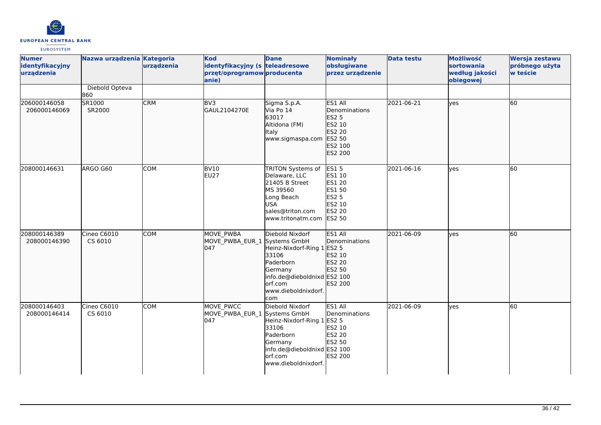

| <b>Numer</b><br>identyfikacyjny<br>urządzenia | Nazwa urządzenia Kategoria | urządzenia | <b>Kod</b><br>identyfikacyjny (s teleadresowe<br>przęt/oprogramow producenta<br>anie) | <b>Dane</b>                                                                                                                                                      | <b>Nominały</b><br>obsługiwane<br>przez urządzenie                                                           | <b>Data testu</b> | Możliwość<br>sortowania<br>według jakości<br>obiegowej | Wersja zestawu<br>próbnego użyta<br>w teście |
|-----------------------------------------------|----------------------------|------------|---------------------------------------------------------------------------------------|------------------------------------------------------------------------------------------------------------------------------------------------------------------|--------------------------------------------------------------------------------------------------------------|-------------------|--------------------------------------------------------|----------------------------------------------|
|                                               | Diebold Opteva<br>860      |            |                                                                                       |                                                                                                                                                                  |                                                                                                              |                   |                                                        |                                              |
| 206000146058<br>206000146069                  | SR1000<br>SR2000           | <b>CRM</b> | BV3<br>GAUL2104270E                                                                   | Sigma S.p.A.<br>Via Po 14<br>63017<br>Altidona (FM)<br><b>Italy</b><br>www.sigmaspa.com                                                                          | ES1 All<br>Denominations<br><b>ES2 5</b><br>ES2 10<br>ES2 20<br>ES2 50<br>ES2 100<br>ES2 200                 | 2021-06-21        | lyes                                                   | 60                                           |
| 208000146631                                  | ARGO G60                   | <b>COM</b> | BV10<br><b>EU27</b>                                                                   | TRITON Systems of<br>Delaware, LLC<br>21405 B Street<br>MS 39560<br>Long Beach<br><b>USA</b><br>sales@triton.com<br>www.tritonatm.com                            | <b>ES15</b><br>ES1 10<br><b>ES1 20</b><br><b>ES1 50</b><br><b>ES2 5</b><br>ES2 10<br>ES2 20<br><b>ES2 50</b> | 2021-06-16        | <b>ves</b>                                             | 60                                           |
| 208000146389<br>208000146390                  | Cineo C6010<br>CS 6010     | <b>COM</b> | MOVE PWBA<br>MOVE_PWBA_EUR_1<br>047                                                   | Diebold Nixdorf<br>Systems GmbH<br>Heinz-Nixdorf-Ring 1<br>33106<br>Paderborn<br>Germany<br>info.de@dieboldnixd ES2 100<br>orf.com<br>www.dieboldnixdorf.<br>com | ES1 All<br>Denominations<br><b>ES2 5</b><br>ES2 10<br>ES2 20<br>ES2 50<br>ES2 200                            | 2021-06-09        | lyes                                                   | 60                                           |
| 208000146403<br>208000146414                  | Cineo C6010<br>CS 6010     | <b>COM</b> | MOVE PWCC<br>MOVE_PWBA_EUR 1<br>047                                                   | Diebold Nixdorf<br>Systems GmbH<br>Heinz-Nixdorf-Ring 1 ES2 5<br>33106<br>Paderborn<br>Germany<br>info.de@dieboldnixd ES2 100<br>orf.com<br>www.dieboldnixdorf.  | ES1 All<br>Denominations<br>ES2 10<br><b>ES2 20</b><br>ES2 50<br>ES2 200                                     | 2021-06-09        | <b>l</b> ves                                           | 60                                           |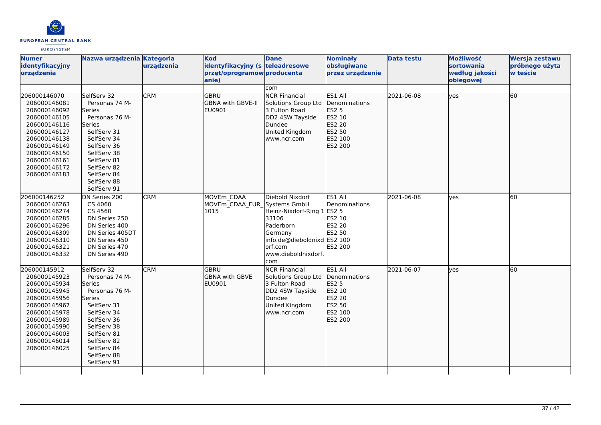

| <b>Numer</b><br>identyfikacyjny<br>urządzenia                                                                                                                                                | Nazwa urządzenia Kategoria                                                                                                                                                                                 | urządzenia | <b>Kod</b><br>identyfikacyjny (s teleadresowe<br>przęt/oprogramow producenta<br>anie) | <b>Dane</b>                                                                                                                                             | <b>Nominały</b><br>obsługiwane<br>przez urządzenie                                    | <b>Data testu</b> | Możliwość<br>sortowania<br>według jakości<br>obiegowej | Wersja zestawu<br>próbnego użyta<br>w teście |
|----------------------------------------------------------------------------------------------------------------------------------------------------------------------------------------------|------------------------------------------------------------------------------------------------------------------------------------------------------------------------------------------------------------|------------|---------------------------------------------------------------------------------------|---------------------------------------------------------------------------------------------------------------------------------------------------------|---------------------------------------------------------------------------------------|-------------------|--------------------------------------------------------|----------------------------------------------|
|                                                                                                                                                                                              |                                                                                                                                                                                                            |            |                                                                                       | com                                                                                                                                                     |                                                                                       |                   |                                                        |                                              |
| 206000146070<br>206000146081<br>206000146092<br>206000146105<br>206000146116<br>206000146127<br>206000146138<br>206000146149<br>206000146150<br>206000146161<br>206000146172<br>206000146183 | SelfServ 32<br>Personas 74 M-<br>Series<br>Personas 76 M-<br>Series<br>SelfServ 31<br>SelfServ 34<br>SelfServ 36<br>SelfServ 38<br>SelfServ 81<br>SelfServ 82<br>SelfServ 84<br>SelfServ 88<br>SelfServ 91 | <b>CRM</b> | <b>GBRU</b><br>GBNA with GBVE-II<br>EU0901                                            | <b>NCR Financial</b><br>Solutions Group Ltd<br>3 Fulton Road<br>DD2 4SW Tayside<br>Dundee<br>United Kingdom<br>www.ncr.com                              | ES1 All<br>Denominations<br>ES2 5<br>ES2 10<br>ES2 20<br>ES2 50<br>ES2 100<br>ES2 200 | 2021-06-08        | lyes                                                   | 60                                           |
| 206000146252<br>206000146263<br>206000146274<br>206000146285<br>206000146296<br>206000146309<br>206000146310<br>206000146321<br>206000146332                                                 | DN Series 200<br>CS 4060<br>CS 4560<br>DN Series 250<br>DN Series 400<br>DN Series 405DT<br>DN Series 450<br>DN Series 470<br>DN Series 490                                                                | <b>CRM</b> | MOVEm CDAA<br>MOVEm_CDAA_EUR_Systems GmbH<br>1015                                     | Diebold Nixdorf<br>Heinz-Nixdorf-Ring 1 ES2 5<br>33106<br>Paderborn<br>Germany<br>info.de@dieboldnixd ES2 100<br>lorf.com<br>www.dieboldnixdorf.<br>com | ES1 All<br>Denominations<br>ES2 10<br><b>ES2 20</b><br><b>ES2 50</b><br>ES2 200       | 2021-06-08        | ves                                                    | 60                                           |
| 206000145912<br>206000145923<br>206000145934<br>206000145945<br>206000145956<br>206000145967<br>206000145978<br>206000145989<br>206000145990<br>206000146003<br>206000146014<br>206000146025 | SelfServ 32<br>Personas 74 M-<br>Series<br>Personas 76 M-<br>Series<br>SelfServ 31<br>SelfServ 34<br>SelfServ 36<br>SelfServ 38<br>SelfServ 81<br>SelfServ 82<br>SelfServ 84<br>SelfServ 88<br>SelfServ 91 | <b>CRM</b> | <b>GBRU</b><br><b>GBNA with GBVE</b><br>EU0901                                        | <b>NCR Financial</b><br>Solutions Group Ltd<br>3 Fulton Road<br>DD2 4SW Tayside<br>Dundee<br>United Kingdom<br>www.ncr.com                              | ES1 All<br>Denominations<br>ES2 5<br>ES2 10<br>ES2 20<br>ES2 50<br>ES2 100<br>ES2 200 | 2021-06-07        | yes                                                    | 60                                           |
|                                                                                                                                                                                              |                                                                                                                                                                                                            |            |                                                                                       |                                                                                                                                                         |                                                                                       |                   |                                                        |                                              |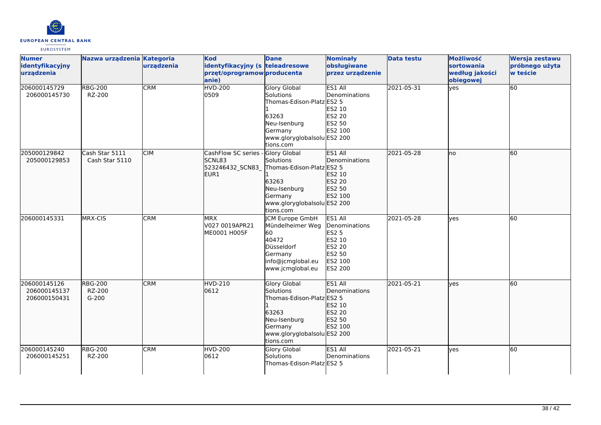

| <b>Numer</b><br>identyfikacyjny<br>urządzenia | Nazwa urządzenia Kategoria          | urządzenia | <b>Kod</b><br>identyfikacyjny (s teleadresowe<br>przęt/oprogramow producenta<br>anie) | <b>Dane</b>                                                                                                                                          | <b>Nominały</b><br>obsługiwane<br>przez urządzenie                                           | <b>Data testu</b> | Możliwość<br>sortowania<br>według jakości<br>obiegowej | Wersja zestawu<br>próbnego użyta<br>w teście |
|-----------------------------------------------|-------------------------------------|------------|---------------------------------------------------------------------------------------|------------------------------------------------------------------------------------------------------------------------------------------------------|----------------------------------------------------------------------------------------------|-------------------|--------------------------------------------------------|----------------------------------------------|
| 206000145729<br>206000145730                  | <b>RBG-200</b><br>RZ-200            | <b>CRM</b> | <b>HVD-200</b><br>0509                                                                | <b>Glory Global</b><br><b>Solutions</b><br>Thomas-Edison-Platz ES2 5<br>63263<br>Neu-Isenburg<br>Germany<br>www.gloryglobalsolu ES2 200<br>tions.com | ES1 All<br>Denominations<br>ES2 10<br>ES2 20<br>ES2 50<br>ES2 100                            | 2021-05-31        | yes                                                    | 60                                           |
| 205000129842<br>205000129853                  | Cash Star 5111<br>Cash Star 5110    | <b>CIM</b> | CashFlow SC series<br><b>SCNL83</b><br>523246432_SCN83<br>EUR1                        | <b>Glory Global</b><br>Solutions<br>Thomas-Edison-Platz ES2 5<br>63263<br>Neu-Isenburg<br>Germany<br>www.gloryglobalsolu ES2 200<br>tions.com        | ES1 All<br>Denominations<br>ES2 10<br>ES2 20<br>ES2 50<br>ES2 100                            | 2021-05-28        | no                                                     | 60                                           |
| 206000145331                                  | MRX-CIS                             | <b>CRM</b> | <b>MRX</b><br>V027 0019APR21<br>ME0001 H005F                                          | <b>CM Europe GmbH</b><br>Mündelheimer Weg<br>60<br>40472<br>Düsseldorf<br>Germany<br>info@jcmglobal.eu<br>www.jcmglobal.eu                           | ES1 All<br>Denominations<br><b>ES2 5</b><br>ES2 10<br>ES2 20<br>ES2 50<br>ES2 100<br>ES2 200 | 2021-05-28        | ves                                                    | 60                                           |
| 206000145126<br>206000145137<br>206000150431  | <b>RBG-200</b><br>RZ-200<br>$G-200$ | <b>CRM</b> | <b>HVD-210</b><br>0612                                                                | Glory Global<br>Solutions<br>Thomas-Edison-Platz ES2 5<br>63263<br>Neu-Isenburg<br>Germany<br>www.gloryglobalsolu ES2 200<br>tions.com               | <b>ES1 AIL</b><br><b>Denominations</b><br>ES2 10<br>ES2 20<br>ES2 50<br>ES2 100              | 2021-05-21        | ves                                                    | 60                                           |
| 206000145240<br>206000145251                  | <b>RBG-200</b><br>RZ-200            | <b>CRM</b> | <b>HVD-200</b><br>0612                                                                | <b>Glory Global</b><br><b>Solutions</b><br>Thomas-Edison-Platz ES2 5                                                                                 | ES1 All<br>Denominations                                                                     | 2021-05-21        | ves                                                    | 60                                           |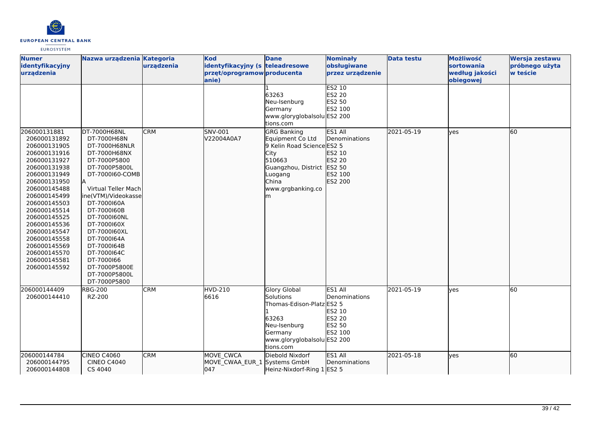

| <b>Numer</b><br>identyfikacyjny<br>urządzenia                                                                                                                                                                                                                                                                                | Nazwa urządzenia Kategoria                                                                                                                                                                                                                                                                                                                               | urządzenia | <b>Kod</b><br>identyfikacyjny (s teleadresowe<br>przęt/oprogramow producenta<br>anie) | <b>Dane</b>                                                                                                                                                        | <b>Nominały</b><br>obsługiwane<br>przez urządzenie<br><b>ES2 10</b>             | <b>Data testu</b> | Możliwość<br>sortowania<br>według jakości<br>obiegowej | Wersja zestawu<br>próbnego użyta<br>w teście |
|------------------------------------------------------------------------------------------------------------------------------------------------------------------------------------------------------------------------------------------------------------------------------------------------------------------------------|----------------------------------------------------------------------------------------------------------------------------------------------------------------------------------------------------------------------------------------------------------------------------------------------------------------------------------------------------------|------------|---------------------------------------------------------------------------------------|--------------------------------------------------------------------------------------------------------------------------------------------------------------------|---------------------------------------------------------------------------------|-------------------|--------------------------------------------------------|----------------------------------------------|
|                                                                                                                                                                                                                                                                                                                              |                                                                                                                                                                                                                                                                                                                                                          |            |                                                                                       | 63263<br>Neu-Isenburg<br>Germany<br>www.gloryglobalsolu ES2 200<br>tions.com                                                                                       | <b>ES2 20</b><br>ES2 50<br>ES2 100                                              |                   |                                                        |                                              |
| 206000131881<br>206000131892<br>206000131905<br>206000131916<br>206000131927<br>206000131938<br>206000131949<br>206000131950<br>206000145488<br>206000145499<br>206000145503<br>206000145514<br>206000145525<br>206000145536<br>206000145547<br>206000145558<br>206000145569<br>206000145570<br>206000145581<br>206000145592 | DT-7000H68NL<br>DT-7000H68N<br>DT-7000H68NLR<br>DT-7000H68NX<br>DT-7000P5800<br>DT-7000P5800L<br>DT-7000160-COMB<br>Virtual Teller Mach<br>ine(VTM)/Videokasse<br>DT-7000160A<br>DT-7000160B<br>DT-7000160NL<br>DT-7000160X<br>DT-7000160XL<br>DT-7000164A<br>DT-7000164B<br>DT-7000164C<br>DT-7000166<br>DT-7000P5800E<br>DT-7000P5800L<br>DT-7000P5800 | <b>CRM</b> | SNV-001<br>V22004A0A7                                                                 | <b>GRG Banking</b><br>Equipment Co Ltd<br>9 Kelin Road Science ES2 5<br>City<br>510663<br>Guangzhou, District ES2 50<br>Luogang<br>China<br>www.grgbanking.co<br>m | ES1 All<br>Denominations<br>ES2 10<br>ES2 20<br>ES2 100<br>ES2 200              | 2021-05-19        | lyes                                                   | 60                                           |
| 206000144409<br>206000144410                                                                                                                                                                                                                                                                                                 | <b>RBG-200</b><br>RZ-200                                                                                                                                                                                                                                                                                                                                 | <b>CRM</b> | <b>HVD-210</b><br>6616                                                                | Glory Global<br>Solutions<br>Thomas-Edison-Platz ES2 5<br>63263<br>Neu-Isenburg<br>Germany<br>www.gloryglobalsolu ES2 200<br>tions.com                             | ES1 All<br>Denominations<br>ES2 10<br><b>ES2 20</b><br><b>ES2 50</b><br>ES2 100 | 2021-05-19        | yes                                                    | 60                                           |
| 206000144784<br>206000144795<br>206000144808                                                                                                                                                                                                                                                                                 | CINEO C4060<br><b>CINEO C4040</b><br>CS 4040                                                                                                                                                                                                                                                                                                             | <b>CRM</b> | MOVE CWCA<br>MOVE_CWAA_EUR_1 Systems GmbH<br>047                                      | Diebold Nixdorf<br>Heinz-Nixdorf-Ring 1 ES2 5                                                                                                                      | ES1 All<br>Denominations                                                        | 2021-05-18        | lyes                                                   | 60                                           |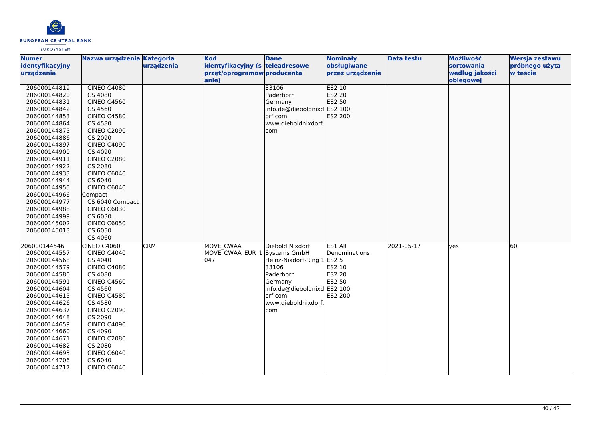

| <b>Numer</b>    | Nazwa urządzenia Kategoria |            | <b>Kod</b>                      | <b>Dane</b>                 | <b>Nominały</b>  | <b>Data testu</b> | Możliwość      | Wersja zestawu |
|-----------------|----------------------------|------------|---------------------------------|-----------------------------|------------------|-------------------|----------------|----------------|
| identyfikacyjny |                            | urządzenia | identyfikacyjny (s teleadresowe |                             | obsługiwane      |                   | sortowania     | próbnego użyta |
| urzadzenia      |                            |            | przęt/oprogramow producenta     |                             | przez urządzenie |                   | według jakości | w teście       |
|                 |                            |            | anie)                           |                             |                  |                   | obiegowej      |                |
| 206000144819    | <b>CINEO C4080</b>         |            |                                 | 33106                       | <b>ES2 10</b>    |                   |                |                |
| 206000144820    | CS 4080                    |            |                                 | Paderborn                   | ES2 20           |                   |                |                |
| 206000144831    | <b>CINEO C4560</b>         |            |                                 | Germany                     | ES2 50           |                   |                |                |
| 206000144842    | CS 4560                    |            |                                 | info.de@dieboldnixd ES2 100 |                  |                   |                |                |
| 206000144853    | <b>CINEO C4580</b>         |            |                                 | orf.com                     | ES2 200          |                   |                |                |
| 206000144864    | CS 4580                    |            |                                 | www.dieboldnixdorf.         |                  |                   |                |                |
| 206000144875    | <b>CINEO C2090</b>         |            |                                 | com                         |                  |                   |                |                |
| 206000144886    | CS 2090                    |            |                                 |                             |                  |                   |                |                |
| 206000144897    | <b>CINEO C4090</b>         |            |                                 |                             |                  |                   |                |                |
| 206000144900    | CS 4090                    |            |                                 |                             |                  |                   |                |                |
| 206000144911    | <b>CINEO C2080</b>         |            |                                 |                             |                  |                   |                |                |
| 206000144922    | CS 2080                    |            |                                 |                             |                  |                   |                |                |
| 206000144933    | <b>CINEO C6040</b>         |            |                                 |                             |                  |                   |                |                |
| 206000144944    | CS 6040                    |            |                                 |                             |                  |                   |                |                |
| 206000144955    | <b>CINEO C6040</b>         |            |                                 |                             |                  |                   |                |                |
| 206000144966    | Compact                    |            |                                 |                             |                  |                   |                |                |
| 206000144977    | CS 6040 Compact            |            |                                 |                             |                  |                   |                |                |
| 206000144988    | <b>CINEO C6030</b>         |            |                                 |                             |                  |                   |                |                |
| 206000144999    | CS 6030                    |            |                                 |                             |                  |                   |                |                |
| 206000145002    | <b>CINEO C6050</b>         |            |                                 |                             |                  |                   |                |                |
| 206000145013    | CS 6050                    |            |                                 |                             |                  |                   |                |                |
|                 | CS 4060                    |            |                                 |                             |                  |                   |                |                |
| 206000144546    | <b>CINEO C4060</b>         | CRM        | <b>MOVE CWAA</b>                | Diebold Nixdorf             | ES1 All          | 2021-05-17        | lves           | 60             |
| 206000144557    | <b>CINEO C4040</b>         |            | MOVE CWAA EUR 1 Systems GmbH    |                             | Denominations    |                   |                |                |
| 206000144568    | CS 4040                    |            | 047                             | Heinz-Nixdorf-Ring 1 ES2 5  |                  |                   |                |                |
| 206000144579    | <b>CINEO C4080</b>         |            |                                 | 33106                       | <b>ES2 10</b>    |                   |                |                |
| 206000144580    | CS 4080                    |            |                                 | Paderborn                   | <b>ES2 20</b>    |                   |                |                |
| 206000144591    | <b>CINEO C4560</b>         |            |                                 | Germany                     | ES2 50           |                   |                |                |
| 206000144604    | CS 4560                    |            |                                 | info.de@dieboldnixd ES2 100 |                  |                   |                |                |
| 206000144615    | <b>CINEO C4580</b>         |            |                                 | orf.com                     | ES2 200          |                   |                |                |
| 206000144626    | CS 4580                    |            |                                 | www.dieboldnixdorf.         |                  |                   |                |                |
| 206000144637    | <b>CINEO C2090</b>         |            |                                 | com                         |                  |                   |                |                |
| 206000144648    | CS 2090                    |            |                                 |                             |                  |                   |                |                |
| 206000144659    | <b>CINEO C4090</b>         |            |                                 |                             |                  |                   |                |                |
| 206000144660    | CS 4090                    |            |                                 |                             |                  |                   |                |                |
| 206000144671    | <b>CINEO C2080</b>         |            |                                 |                             |                  |                   |                |                |
| 206000144682    | CS 2080                    |            |                                 |                             |                  |                   |                |                |
| 206000144693    | <b>CINEO C6040</b>         |            |                                 |                             |                  |                   |                |                |
| 206000144706    | CS 6040                    |            |                                 |                             |                  |                   |                |                |
| 206000144717    | <b>CINEO C6040</b>         |            |                                 |                             |                  |                   |                |                |
|                 |                            |            |                                 |                             |                  |                   |                |                |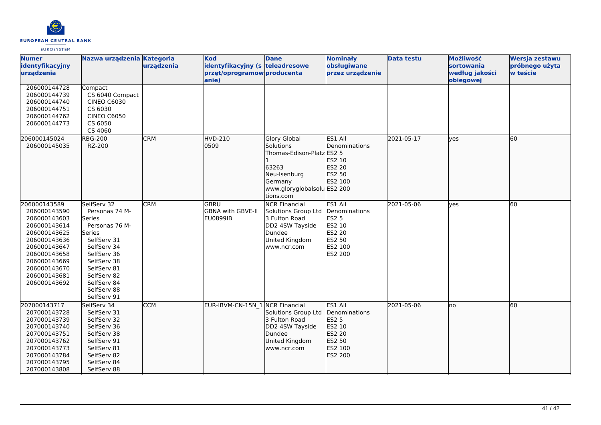

| <b>Numer</b><br>identyfikacyjny<br>urządzenia                                                                                                                                                | Nazwa urządzenia Kategoria                                                                                                                                                                                 | urządzenia | <b>Kod</b><br>identyfikacyjny (s teleadresowe<br>przęt/oprogramow producenta<br>anie) | <b>Dane</b>                                                                                                                                   | <b>Nominały</b><br>obsługiwane<br>przez urządzenie                                                         | <b>Data testu</b> | Możliwość<br>sortowania<br>według jakości<br>obiegowej | Wersja zestawu<br>próbnego użyta<br>w teście |
|----------------------------------------------------------------------------------------------------------------------------------------------------------------------------------------------|------------------------------------------------------------------------------------------------------------------------------------------------------------------------------------------------------------|------------|---------------------------------------------------------------------------------------|-----------------------------------------------------------------------------------------------------------------------------------------------|------------------------------------------------------------------------------------------------------------|-------------------|--------------------------------------------------------|----------------------------------------------|
| 206000144728<br>206000144739<br>206000144740<br>206000144751<br>206000144762<br>206000144773                                                                                                 | Compact<br>CS 6040 Compact<br><b>CINEO C6030</b><br>CS 6030<br><b>CINEO C6050</b><br>CS 6050<br>CS 4060                                                                                                    |            |                                                                                       |                                                                                                                                               |                                                                                                            |                   |                                                        |                                              |
| 206000145024<br>206000145035                                                                                                                                                                 | <b>RBG-200</b><br>RZ-200                                                                                                                                                                                   | <b>CRM</b> | <b>HVD-210</b><br>0509                                                                | <b>Glory Global</b><br>Solutions<br>Thomas-Edison-Platz ES2 5<br>63263<br>Neu-Isenburg<br>Germany<br>www.gloryglobalsolu ES2 200<br>tions.com | ES1 All<br><b>IDenominations</b><br>ES2 10<br>ES2 20<br>ES2 50<br>ES2 100                                  | 2021-05-17        | <b>lves</b>                                            | 60                                           |
| 206000143589<br>206000143590<br>206000143603<br>206000143614<br>206000143625<br>206000143636<br>206000143647<br>206000143658<br>206000143669<br>206000143670<br>206000143681<br>206000143692 | SelfServ 32<br>Personas 74 M-<br>Series<br>Personas 76 M-<br>Series<br>SelfServ 31<br>SelfServ 34<br>SelfServ 36<br>SelfServ 38<br>SelfServ 81<br>SelfServ 82<br>SelfServ 84<br>SelfServ 88<br>SelfServ 91 | <b>CRM</b> | lgbru<br>GBNA with GBVE-II<br>EU0899IB                                                | <b>NCR Financial</b><br>Solutions Group Ltd<br>3 Fulton Road<br>DD2 4SW Tayside<br>Dundee<br>United Kingdom<br>www.ncr.com                    | ES1 All<br>Denominations<br><b>ES2 5</b><br><b>ES2 10</b><br><b>ES2 20</b><br>ES2 50<br>ES2 100<br>ES2 200 | 2021-05-06        | <b>ves</b>                                             | 60                                           |
| 207000143717<br>207000143728<br>207000143739<br>207000143740<br>207000143751<br>207000143762<br>207000143773<br>207000143784<br>207000143795<br>207000143808                                 | SelfServ 34<br>SelfServ 31<br>SelfServ 32<br>SelfServ 36<br>SelfServ 38<br>SelfServ 91<br>SelfServ 81<br>SelfServ 82<br>SelfServ 84<br>SelfServ 88                                                         | <b>CCM</b> | EUR-IBVM-CN-15N 1 NCR Financial                                                       | Solutions Group Ltd<br>3 Fulton Road<br>DD2 4SW Tayside<br>Dundee<br>United Kingdom<br>www.ncr.com                                            | ES1 All<br>Denominations<br><b>ES2 5</b><br>ES2 10<br>ES2 20<br>ES2 50<br>ES2 100<br>ES2 200               | 2021-05-06        | Ino                                                    | 60                                           |